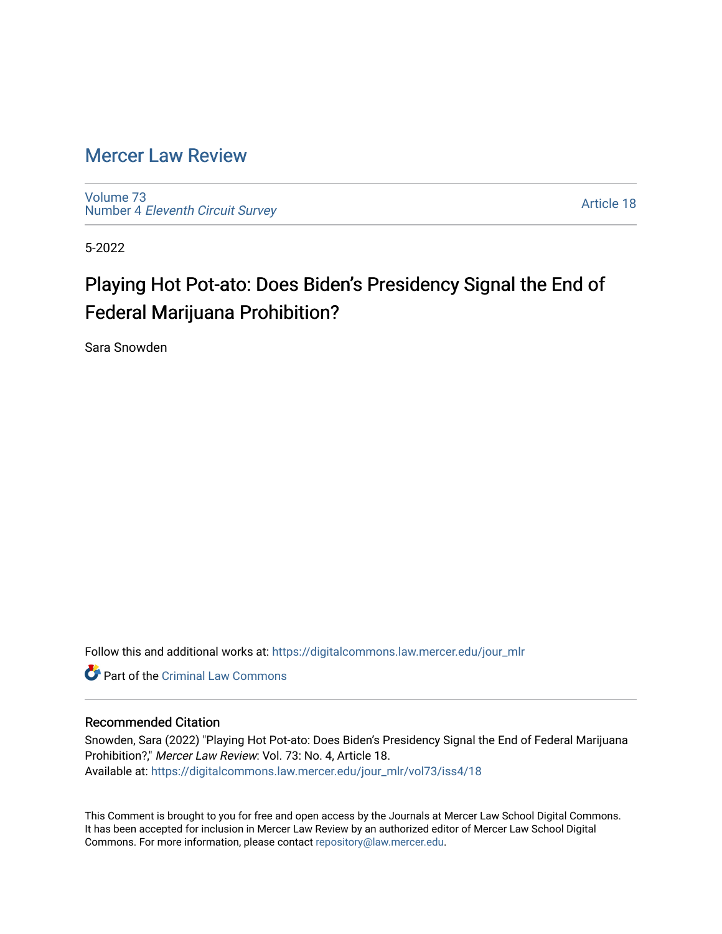# [Mercer Law Review](https://digitalcommons.law.mercer.edu/jour_mlr)

[Volume 73](https://digitalcommons.law.mercer.edu/jour_mlr/vol73) Number 4 [Eleventh Circuit Survey](https://digitalcommons.law.mercer.edu/jour_mlr/vol73/iss4) 

[Article 18](https://digitalcommons.law.mercer.edu/jour_mlr/vol73/iss4/18) 

5-2022

# Playing Hot Pot-ato: Does Biden's Presidency Signal the End of Federal Marijuana Prohibition?

Sara Snowden

Follow this and additional works at: [https://digitalcommons.law.mercer.edu/jour\\_mlr](https://digitalcommons.law.mercer.edu/jour_mlr?utm_source=digitalcommons.law.mercer.edu%2Fjour_mlr%2Fvol73%2Fiss4%2F18&utm_medium=PDF&utm_campaign=PDFCoverPages)

**C** Part of the Criminal Law Commons

# Recommended Citation

Snowden, Sara (2022) "Playing Hot Pot-ato: Does Biden's Presidency Signal the End of Federal Marijuana Prohibition?," Mercer Law Review: Vol. 73: No. 4, Article 18. Available at: [https://digitalcommons.law.mercer.edu/jour\\_mlr/vol73/iss4/18](https://digitalcommons.law.mercer.edu/jour_mlr/vol73/iss4/18?utm_source=digitalcommons.law.mercer.edu%2Fjour_mlr%2Fvol73%2Fiss4%2F18&utm_medium=PDF&utm_campaign=PDFCoverPages) 

This Comment is brought to you for free and open access by the Journals at Mercer Law School Digital Commons. It has been accepted for inclusion in Mercer Law Review by an authorized editor of Mercer Law School Digital Commons. For more information, please contact [repository@law.mercer.edu.](mailto:repository@law.mercer.edu)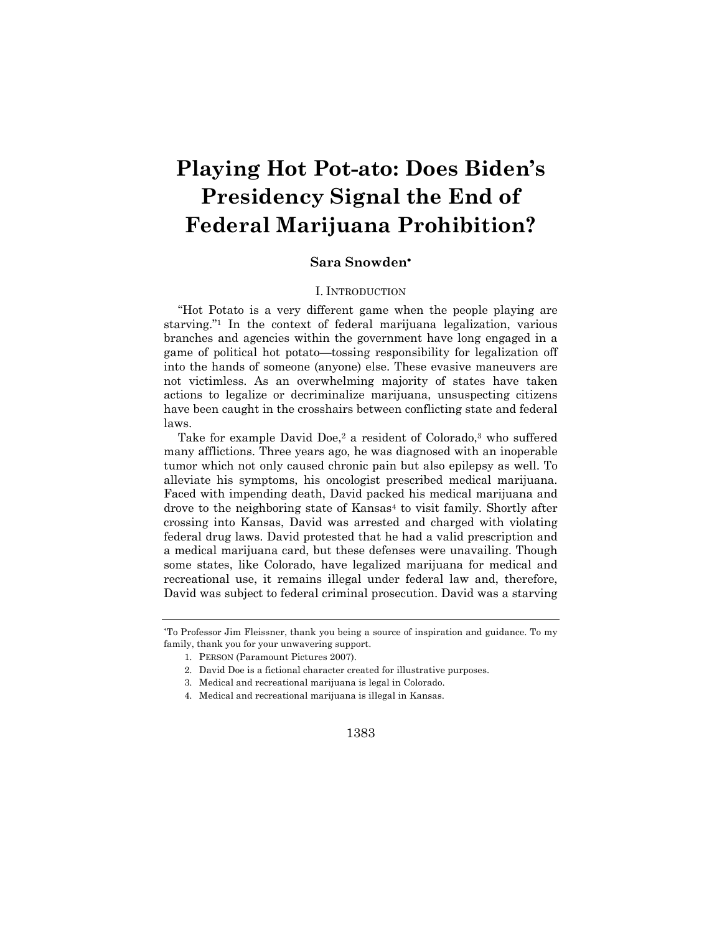# **Playing Hot Pot-ato: Does Biden's Presidency Signal the End of Federal Marijuana Prohibition?**

# **Sara Snowden**\*

# I. INTRODUCTION

"Hot Potato is a very different game when the people playing are starving."1 In the context of federal marijuana legalization, various branches and agencies within the government have long engaged in a game of political hot potato—tossing responsibility for legalization off into the hands of someone (anyone) else. These evasive maneuvers are not victimless. As an overwhelming majority of states have taken actions to legalize or decriminalize marijuana, unsuspecting citizens have been caught in the crosshairs between conflicting state and federal laws.

Take for example David Doe,<sup>2</sup> a resident of Colorado,<sup>3</sup> who suffered many afflictions. Three years ago, he was diagnosed with an inoperable tumor which not only caused chronic pain but also epilepsy as well. To alleviate his symptoms, his oncologist prescribed medical marijuana. Faced with impending death, David packed his medical marijuana and drove to the neighboring state of Kansas<sup>4</sup> to visit family. Shortly after crossing into Kansas, David was arrested and charged with violating federal drug laws. David protested that he had a valid prescription and a medical marijuana card, but these defenses were unavailing. Though some states, like Colorado, have legalized marijuana for medical and recreational use, it remains illegal under federal law and, therefore, David was subject to federal criminal prosecution. David was a starving

<sup>\*</sup> To Professor Jim Fleissner, thank you being a source of inspiration and guidance. To my family, thank you for your unwavering support.

<sup>1.</sup> PERSON (Paramount Pictures 2007).

<sup>2.</sup> David Doe is a fictional character created for illustrative purposes.

<sup>3.</sup> Medical and recreational marijuana is legal in Colorado.

<sup>4.</sup> Medical and recreational marijuana is illegal in Kansas.

<sup>1383</sup>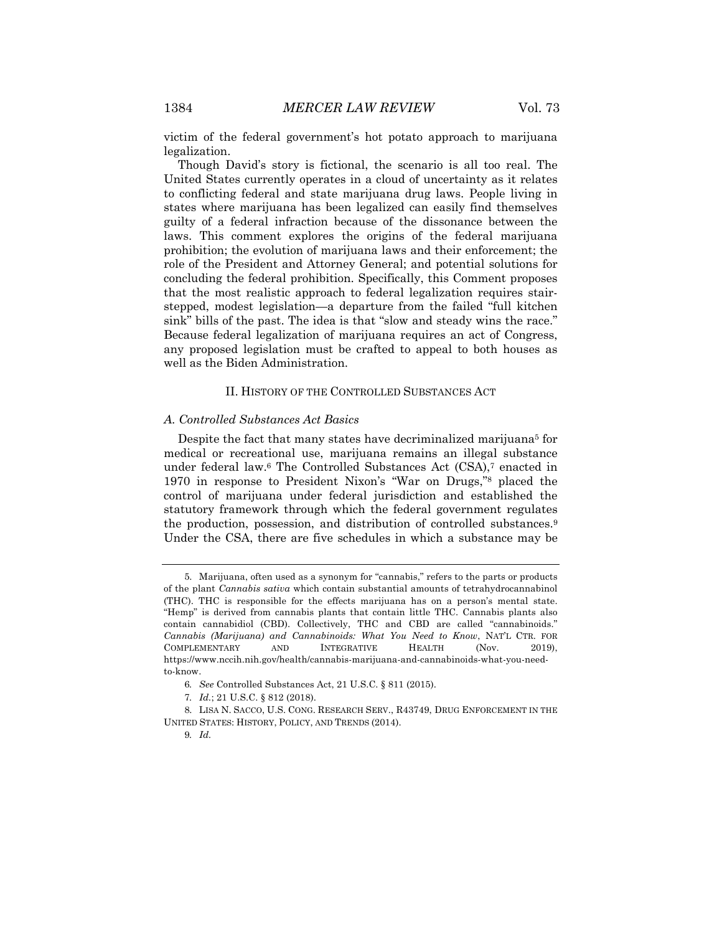victim of the federal government's hot potato approach to marijuana legalization.

Though David's story is fictional, the scenario is all too real. The United States currently operates in a cloud of uncertainty as it relates to conflicting federal and state marijuana drug laws. People living in states where marijuana has been legalized can easily find themselves guilty of a federal infraction because of the dissonance between the laws. This comment explores the origins of the federal marijuana prohibition; the evolution of marijuana laws and their enforcement; the role of the President and Attorney General; and potential solutions for concluding the federal prohibition. Specifically, this Comment proposes that the most realistic approach to federal legalization requires stairstepped, modest legislation—a departure from the failed "full kitchen sink" bills of the past. The idea is that "slow and steady wins the race." Because federal legalization of marijuana requires an act of Congress, any proposed legislation must be crafted to appeal to both houses as well as the Biden Administration.

# II. HISTORY OF THE CONTROLLED SUBSTANCES ACT

### *A. Controlled Substances Act Basics*

Despite the fact that many states have decriminalized marijuana<sup>5</sup> for medical or recreational use, marijuana remains an illegal substance under federal law.<sup>6</sup> The Controlled Substances Act (CSA),<sup>7</sup> enacted in 1970 in response to President Nixon's "War on Drugs,"8 placed the control of marijuana under federal jurisdiction and established the statutory framework through which the federal government regulates the production, possession, and distribution of controlled substances.9 Under the CSA, there are five schedules in which a substance may be

<sup>5.</sup> Marijuana, often used as a synonym for "cannabis," refers to the parts or products of the plant *Cannabis sativa* which contain substantial amounts of tetrahydrocannabinol (THC). THC is responsible for the effects marijuana has on a person's mental state. "Hemp" is derived from cannabis plants that contain little THC. Cannabis plants also contain cannabidiol (CBD). Collectively, THC and CBD are called "cannabinoids." *Cannabis (Marijuana) and Cannabinoids: What You Need to Know*, NAT'L CTR. FOR COMPLEMENTARY AND INTEGRATIVE HEALTH (Nov. 2019), https://www.nccih.nih.gov/health/cannabis-marijuana-and-cannabinoids-what-you-needto-know.

<sup>6</sup>*. See* Controlled Substances Act, 21 U.S.C. § 811 (2015).

<sup>7</sup>*. Id.*; 21 U.S.C. § 812 (2018).

<sup>8.</sup> LISA N. SACCO, U.S. CONG. RESEARCH SERV., R43749, DRUG ENFORCEMENT IN THE UNITED STATES: HISTORY, POLICY, AND TRENDS (2014).

<sup>9</sup>*. Id.*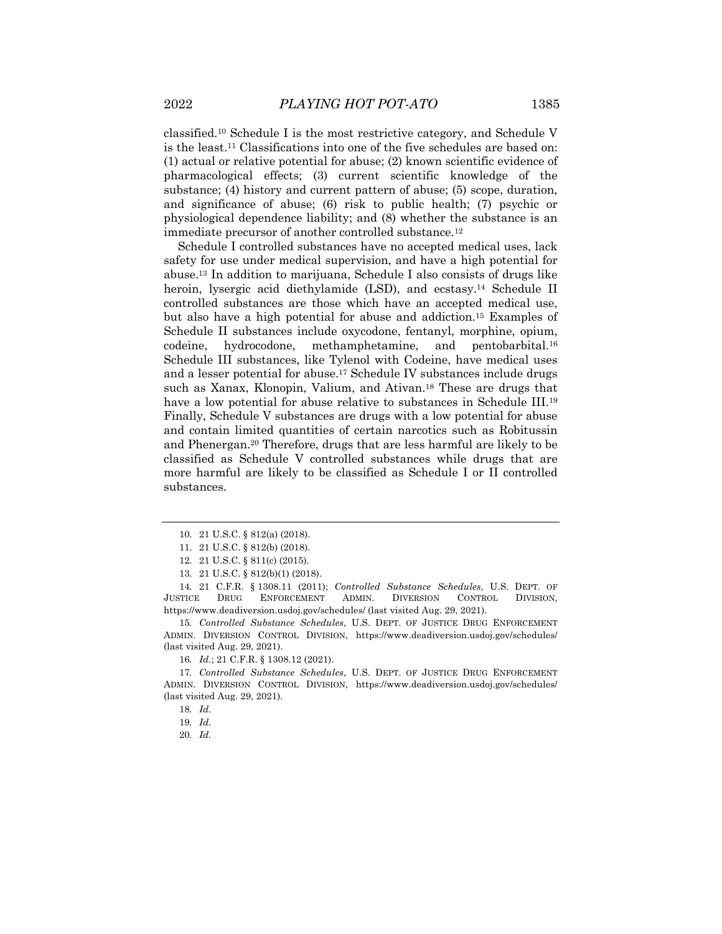classified.10 Schedule I is the most restrictive category, and Schedule V is the least.11 Classifications into one of the five schedules are based on: (1) actual or relative potential for abuse; (2) known scientific evidence of pharmacological effects; (3) current scientific knowledge of the substance; (4) history and current pattern of abuse; (5) scope, duration, and significance of abuse; (6) risk to public health; (7) psychic or physiological dependence liability; and (8) whether the substance is an immediate precursor of another controlled substance.12

Schedule I controlled substances have no accepted medical uses, lack safety for use under medical supervision, and have a high potential for abuse.13 In addition to marijuana, Schedule I also consists of drugs like heroin, lysergic acid diethylamide (LSD), and ecstasy.<sup>14</sup> Schedule II controlled substances are those which have an accepted medical use, but also have a high potential for abuse and addiction.15 Examples of Schedule II substances include oxycodone, fentanyl, morphine, opium, codeine, hydrocodone, methamphetamine, and pentobarbital.16 Schedule III substances, like Tylenol with Codeine, have medical uses and a lesser potential for abuse.17 Schedule IV substances include drugs such as Xanax, Klonopin, Valium, and Ativan.18 These are drugs that have a low potential for abuse relative to substances in Schedule III.<sup>19</sup> Finally, Schedule V substances are drugs with a low potential for abuse and contain limited quantities of certain narcotics such as Robitussin and Phenergan.20 Therefore, drugs that are less harmful are likely to be classified as Schedule V controlled substances while drugs that are more harmful are likely to be classified as Schedule I or II controlled substances.

<sup>10.</sup> 21 U.S.C. § 812(a) (2018).

<sup>11.</sup> 21 U.S.C. § 812(b) (2018).

<sup>12.</sup> 21 U.S.C. § 811(c) (2015).

<sup>13.</sup> 21 U.S.C. § 812(b)(1) (2018).

<sup>14.</sup> 21 C.F.R. § 1308.11 (2011); *Controlled Substance Schedules*, U.S. DEPT. OF JUSTICE DRUG ENFORCEMENT ADMIN. DIVERSION CONTROL DIVISION, https://www.deadiversion.usdoj.gov/schedules/ (last visited Aug. 29, 2021).

<sup>15</sup>*. Controlled Substance Schedules*, U.S. DEPT. OF JUSTICE DRUG ENFORCEMENT ADMIN. DIVERSION CONTROL DIVISION, https://www.deadiversion.usdoj.gov/schedules/ (last visited Aug. 29, 2021).

<sup>16</sup>*. Id.*; 21 C.F.R. § 1308.12 (2021).

<sup>17</sup>*. Controlled Substance Schedules*, U.S. DEPT. OF JUSTICE DRUG ENFORCEMENT ADMIN. DIVERSION CONTROL DIVISION, https://www.deadiversion.usdoj.gov/schedules/ (last visited Aug. 29, 2021).

<sup>18</sup>*. Id.*

<sup>19</sup>*. Id.*

<sup>20</sup>*. Id.*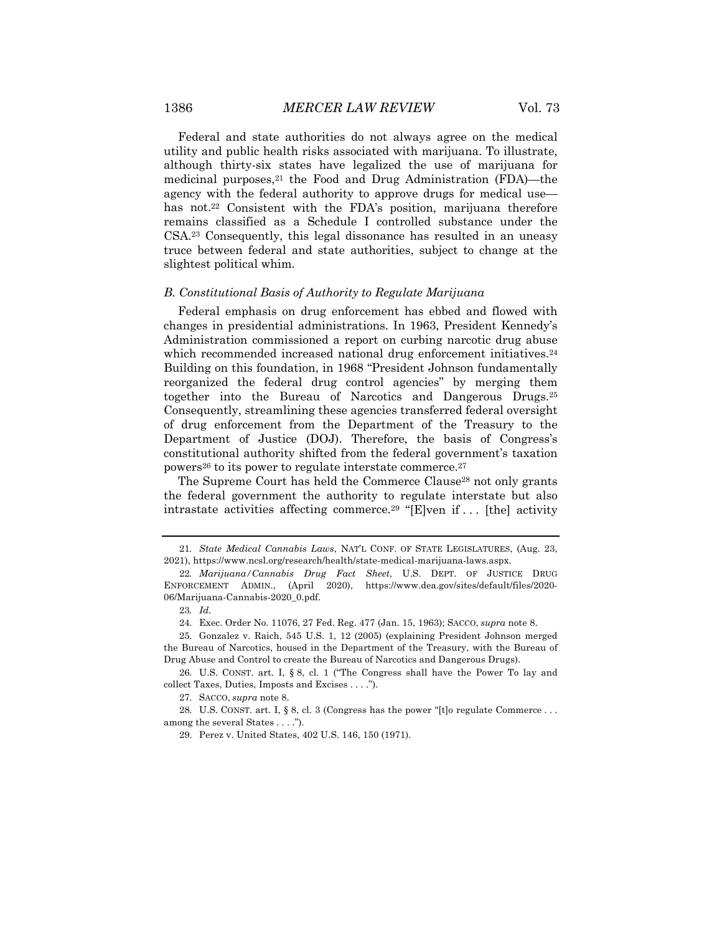Federal and state authorities do not always agree on the medical utility and public health risks associated with marijuana. To illustrate, although thirty-six states have legalized the use of marijuana for medicinal purposes,<sup>21</sup> the Food and Drug Administration (FDA)—the agency with the federal authority to approve drugs for medical use has not.<sup>22</sup> Consistent with the FDA's position, marijuana therefore remains classified as a Schedule I controlled substance under the CSA.23 Consequently, this legal dissonance has resulted in an uneasy truce between federal and state authorities, subject to change at the slightest political whim.

# *B. Constitutional Basis of Authority to Regulate Marijuana*

Federal emphasis on drug enforcement has ebbed and flowed with changes in presidential administrations. In 1963, President Kennedy's Administration commissioned a report on curbing narcotic drug abuse which recommended increased national drug enforcement initiatives.<sup>24</sup> Building on this foundation, in 1968 "President Johnson fundamentally reorganized the federal drug control agencies" by merging them together into the Bureau of Narcotics and Dangerous Drugs.25 Consequently, streamlining these agencies transferred federal oversight of drug enforcement from the Department of the Treasury to the Department of Justice (DOJ). Therefore, the basis of Congress's constitutional authority shifted from the federal government's taxation powers<sup>26</sup> to its power to regulate interstate commerce.<sup>27</sup>

The Supreme Court has held the Commerce Clause<sup>28</sup> not only grants the federal government the authority to regulate interstate but also intrastate activities affecting commerce.29 "[E]ven if . . . [the] activity

27. SACCO, *supra* note 8.

28. U.S. CONST. art. I, § 8, cl. 3 (Congress has the power "[t]o regulate Commerce . . . among the several States . . . .").

29. Perez v. United States, 402 U.S. 146, 150 (1971).

<sup>21</sup>*. State Medical Cannabis Laws*, NAT'L CONF. OF STATE LEGISLATURES, (Aug. 23, 2021), https://www.ncsl.org/research/health/state-medical-marijuana-laws.aspx.

<sup>22</sup>*. Marijuana/Cannabis Drug Fact Sheet*, U.S. DEPT. OF JUSTICE DRUG ENFORCEMENT ADMIN., (April 2020), https://www.dea.gov/sites/default/files/2020- 06/Marijuana-Cannabis-2020\_0.pdf.

<sup>23</sup>*. Id.*

<sup>24.</sup> Exec. Order No. 11076, 27 Fed. Reg. 477 (Jan. 15, 1963); SACCO, *supra* note 8.

<sup>25.</sup> Gonzalez v. Raich, 545 U.S. 1, 12 (2005) (explaining President Johnson merged the Bureau of Narcotics, housed in the Department of the Treasury, with the Bureau of Drug Abuse and Control to create the Bureau of Narcotics and Dangerous Drugs).

<sup>26.</sup> U.S. CONST. art. I, § 8, cl. 1 ("The Congress shall have the Power To lay and collect Taxes, Duties, Imposts and Excises . . . .").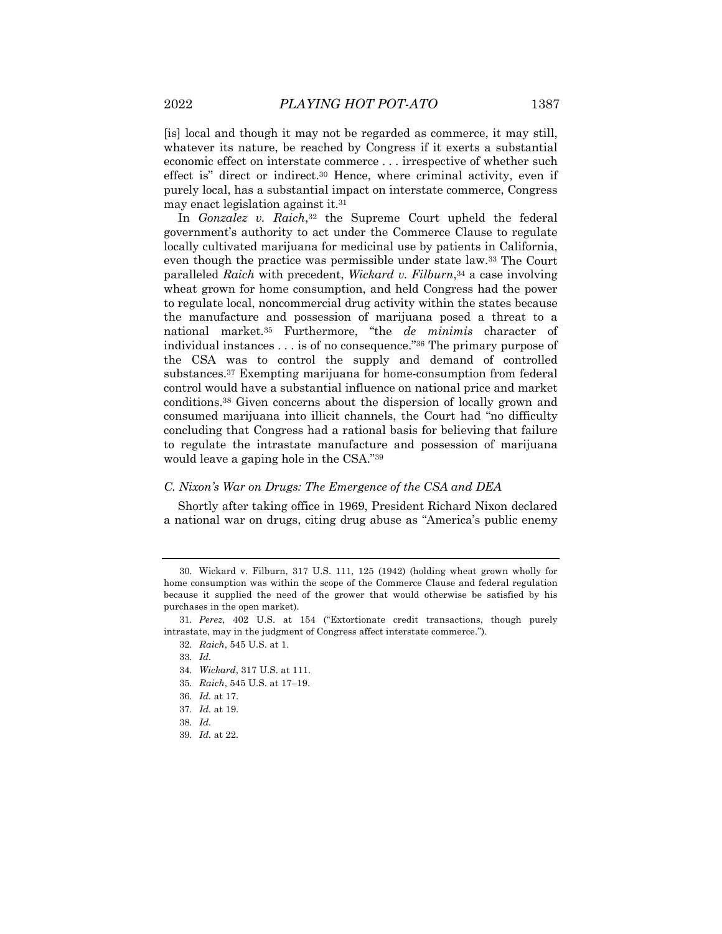[is] local and though it may not be regarded as commerce, it may still, whatever its nature, be reached by Congress if it exerts a substantial economic effect on interstate commerce . . . irrespective of whether such effect is" direct or indirect.30 Hence, where criminal activity, even if purely local, has a substantial impact on interstate commerce, Congress may enact legislation against it.31

In *Gonzalez v. Raich*,<sup>32</sup> the Supreme Court upheld the federal government's authority to act under the Commerce Clause to regulate locally cultivated marijuana for medicinal use by patients in California, even though the practice was permissible under state law.33 The Court paralleled *Raich* with precedent, *Wickard v. Filburn*,34 a case involving wheat grown for home consumption, and held Congress had the power to regulate local, noncommercial drug activity within the states because the manufacture and possession of marijuana posed a threat to a national market.35 Furthermore, "the *de minimis* character of individual instances . . . is of no consequence."36 The primary purpose of the CSA was to control the supply and demand of controlled substances.37 Exempting marijuana for home-consumption from federal control would have a substantial influence on national price and market conditions.38 Given concerns about the dispersion of locally grown and consumed marijuana into illicit channels, the Court had "no difficulty concluding that Congress had a rational basis for believing that failure to regulate the intrastate manufacture and possession of marijuana would leave a gaping hole in the CSA."39

## *C. Nixon's War on Drugs: The Emergence of the CSA and DEA*

Shortly after taking office in 1969, President Richard Nixon declared a national war on drugs, citing drug abuse as "America's public enemy

- 34*. Wickard*, 317 U.S. at 111.
- 35*. Raich*, 545 U.S. at 17–19.

39*. Id.* at 22.

<sup>30.</sup> Wickard v. Filburn, 317 U.S. 111, 125 (1942) (holding wheat grown wholly for home consumption was within the scope of the Commerce Clause and federal regulation because it supplied the need of the grower that would otherwise be satisfied by his purchases in the open market).

<sup>31</sup>*. Perez*, 402 U.S. at 154 ("Extortionate credit transactions, though purely intrastate, may in the judgment of Congress affect interstate commerce.").

<sup>32</sup>*. Raich*, 545 U.S. at 1.

<sup>33</sup>*. Id.*

<sup>36</sup>*. Id.* at 17.

<sup>37</sup>*. Id.* at 19.

<sup>38</sup>*. Id.*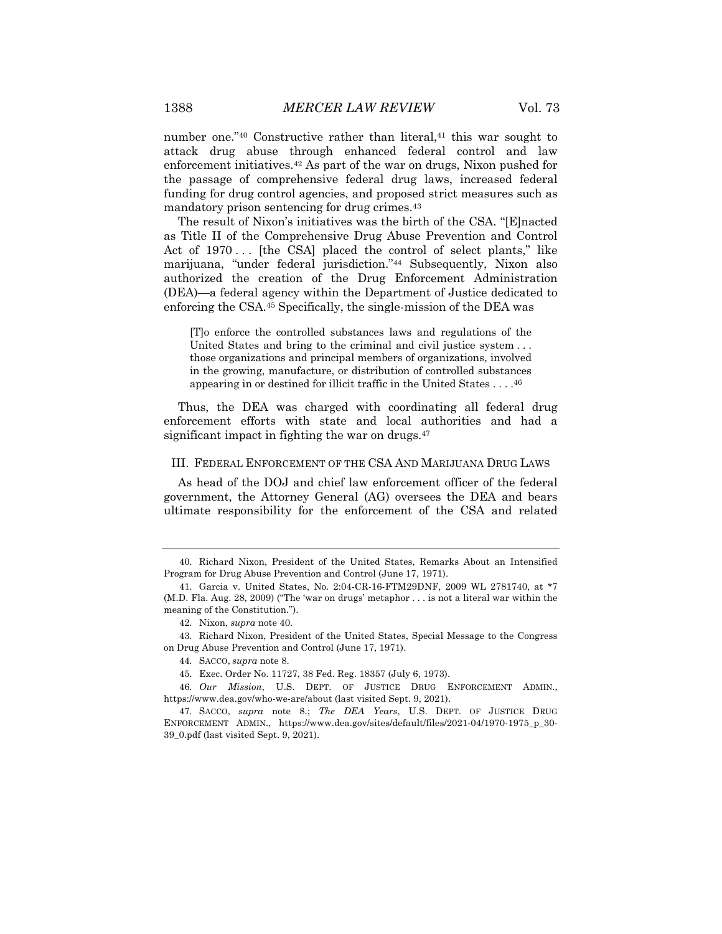number one."<sup>40</sup> Constructive rather than literal,<sup>41</sup> this war sought to attack drug abuse through enhanced federal control and law enforcement initiatives.42 As part of the war on drugs, Nixon pushed for the passage of comprehensive federal drug laws, increased federal funding for drug control agencies, and proposed strict measures such as mandatory prison sentencing for drug crimes.43

The result of Nixon's initiatives was the birth of the CSA. "[E]nacted as Title II of the Comprehensive Drug Abuse Prevention and Control Act of 1970... [the CSA] placed the control of select plants," like marijuana, "under federal jurisdiction."44 Subsequently, Nixon also authorized the creation of the Drug Enforcement Administration (DEA)—a federal agency within the Department of Justice dedicated to enforcing the CSA.45 Specifically, the single-mission of the DEA was

[T]o enforce the controlled substances laws and regulations of the United States and bring to the criminal and civil justice system . . . those organizations and principal members of organizations, involved in the growing, manufacture, or distribution of controlled substances appearing in or destined for illicit traffic in the United States . . . .46

Thus, the DEA was charged with coordinating all federal drug enforcement efforts with state and local authorities and had a significant impact in fighting the war on drugs.<sup>47</sup>

#### III. FEDERAL ENFORCEMENT OF THE CSA AND MARIJUANA DRUG LAWS

As head of the DOJ and chief law enforcement officer of the federal government, the Attorney General (AG) oversees the DEA and bears ultimate responsibility for the enforcement of the CSA and related

43. Richard Nixon, President of the United States, Special Message to the Congress on Drug Abuse Prevention and Control (June 17, 1971).

<sup>40.</sup> Richard Nixon, President of the United States, Remarks About an Intensified Program for Drug Abuse Prevention and Control (June 17, 1971).

<sup>41.</sup> Garcia v. United States, No. 2:04-CR-16-FTM29DNF, 2009 WL 2781740, at \*7 (M.D. Fla. Aug. 28, 2009) ("The 'war on drugs' metaphor . . . is not a literal war within the meaning of the Constitution.").

<sup>42.</sup> Nixon, *supra* note 40.

<sup>44.</sup> SACCO, *supra* note 8.

<sup>45.</sup> Exec. Order No. 11727, 38 Fed. Reg. 18357 (July 6, 1973).

<sup>46</sup>*. Our Mission*, U.S. DEPT. OF JUSTICE DRUG ENFORCEMENT ADMIN., https://www.dea.gov/who-we-are/about (last visited Sept. 9, 2021).

<sup>47.</sup> SACCO, *supra* note 8.; *The DEA Years*, U.S. DEPT. OF JUSTICE DRUG ENFORCEMENT ADMIN., https://www.dea.gov/sites/default/files/2021-04/1970-1975\_p\_30- 39\_0.pdf (last visited Sept. 9, 2021).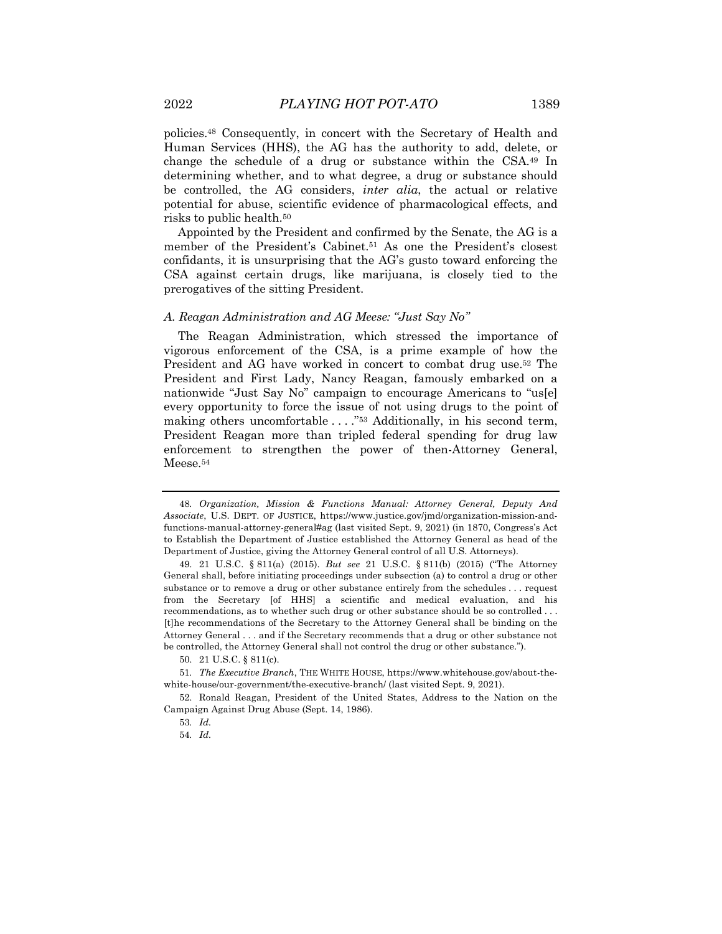policies.48 Consequently, in concert with the Secretary of Health and Human Services (HHS), the AG has the authority to add, delete, or change the schedule of a drug or substance within the CSA.49 In determining whether, and to what degree, a drug or substance should be controlled, the AG considers, *inter alia*, the actual or relative potential for abuse, scientific evidence of pharmacological effects, and

Appointed by the President and confirmed by the Senate, the AG is a member of the President's Cabinet.51 As one the President's closest confidants, it is unsurprising that the AG's gusto toward enforcing the CSA against certain drugs, like marijuana, is closely tied to the prerogatives of the sitting President.

#### *A. Reagan Administration and AG Meese: "Just Say No"*

The Reagan Administration, which stressed the importance of vigorous enforcement of the CSA, is a prime example of how the President and AG have worked in concert to combat drug use.52 The President and First Lady, Nancy Reagan, famously embarked on a nationwide "Just Say No" campaign to encourage Americans to "us[e] every opportunity to force the issue of not using drugs to the point of making others uncomfortable . . . ."53 Additionally, in his second term, President Reagan more than tripled federal spending for drug law enforcement to strengthen the power of then-Attorney General, Meese.54

risks to public health.50

<sup>48</sup>*. Organization, Mission & Functions Manual: Attorney General, Deputy And Associate*, U.S. DEPT. OF JUSTICE, https://www.justice.gov/jmd/organization-mission-andfunctions-manual-attorney-general#ag (last visited Sept. 9, 2021) (in 1870, Congress's Act to Establish the Department of Justice established the Attorney General as head of the Department of Justice, giving the Attorney General control of all U.S. Attorneys).

<sup>49.</sup> 21 U.S.C. § 811(a) (2015). *But see* 21 U.S.C. § 811(b) (2015) ("The Attorney General shall, before initiating proceedings under subsection (a) to control a drug or other substance or to remove a drug or other substance entirely from the schedules . . . request from the Secretary [of HHS] a scientific and medical evaluation, and his recommendations, as to whether such drug or other substance should be so controlled . . . [t]he recommendations of the Secretary to the Attorney General shall be binding on the Attorney General . . . and if the Secretary recommends that a drug or other substance not be controlled, the Attorney General shall not control the drug or other substance.").

<sup>50.</sup> 21 U.S.C. § 811(c).

<sup>51</sup>*. The Executive Branch*, THE WHITE HOUSE, https://www.whitehouse.gov/about-thewhite-house/our-government/the-executive-branch/ (last visited Sept. 9, 2021).

<sup>52.</sup> Ronald Reagan, President of the United States, Address to the Nation on the Campaign Against Drug Abuse (Sept. 14, 1986).

<sup>53</sup>*. Id.*

<sup>54</sup>*. Id.*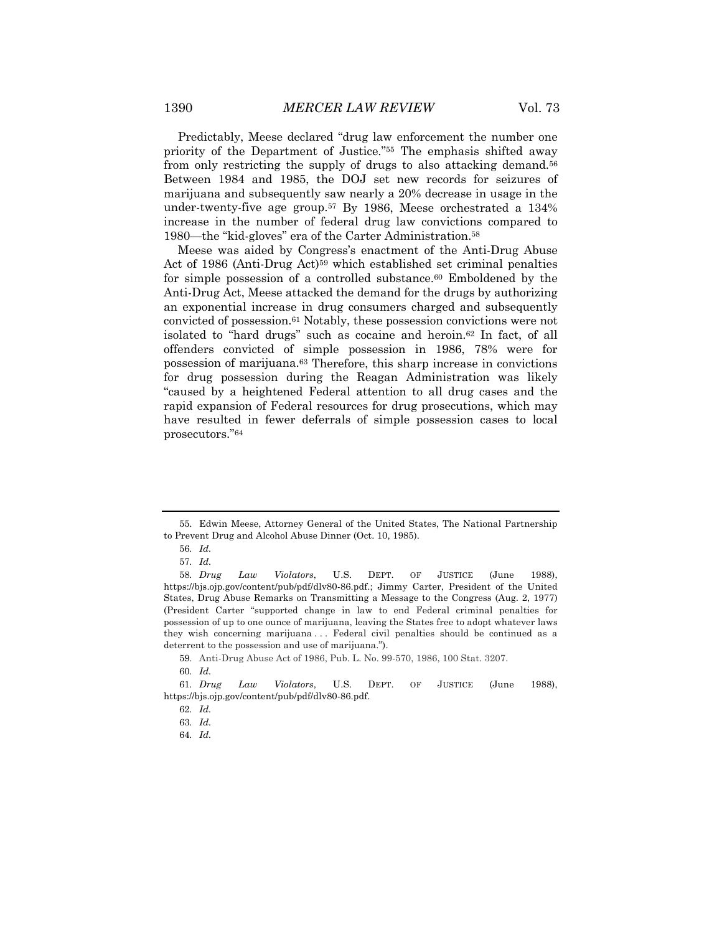Predictably, Meese declared "drug law enforcement the number one priority of the Department of Justice."55 The emphasis shifted away from only restricting the supply of drugs to also attacking demand.56 Between 1984 and 1985, the DOJ set new records for seizures of marijuana and subsequently saw nearly a 20% decrease in usage in the under-twenty-five age group.57 By 1986, Meese orchestrated a 134% increase in the number of federal drug law convictions compared to 1980—the "kid-gloves" era of the Carter Administration.58

Meese was aided by Congress's enactment of the Anti-Drug Abuse Act of 1986 (Anti-Drug Act)<sup>59</sup> which established set criminal penalties for simple possession of a controlled substance.<sup>60</sup> Emboldened by the Anti-Drug Act, Meese attacked the demand for the drugs by authorizing an exponential increase in drug consumers charged and subsequently convicted of possession.61 Notably, these possession convictions were not isolated to "hard drugs" such as cocaine and heroin.62 In fact, of all offenders convicted of simple possession in 1986, 78% were for possession of marijuana.63 Therefore, this sharp increase in convictions for drug possession during the Reagan Administration was likely "caused by a heightened Federal attention to all drug cases and the rapid expansion of Federal resources for drug prosecutions, which may have resulted in fewer deferrals of simple possession cases to local prosecutors."64

59. Anti-Drug Abuse Act of 1986, Pub. L. No. 99-570, 1986, 100 Stat. 3207.

61*. Drug Law Violators*, U.S. DEPT. OF JUSTICE (June 1988), https://bjs.ojp.gov/content/pub/pdf/dlv80-86.pdf.

<sup>55.</sup> Edwin Meese, Attorney General of the United States, The National Partnership to Prevent Drug and Alcohol Abuse Dinner (Oct. 10, 1985).

<sup>56</sup>*. Id.*

<sup>57</sup>*. Id.*

<sup>58</sup>*. Drug Law Violators*, U.S. DEPT. OF JUSTICE (June 1988), https://bjs.ojp.gov/content/pub/pdf/dlv80-86.pdf.; Jimmy Carter, President of the United States, Drug Abuse Remarks on Transmitting a Message to the Congress (Aug. 2, 1977) (President Carter "supported change in law to end Federal criminal penalties for possession of up to one ounce of marijuana, leaving the States free to adopt whatever laws they wish concerning marijuana . . . Federal civil penalties should be continued as a deterrent to the possession and use of marijuana.").

<sup>60</sup>*. Id.*

<sup>62</sup>*. Id.*

<sup>63</sup>*. Id.*

<sup>64</sup>*. Id.*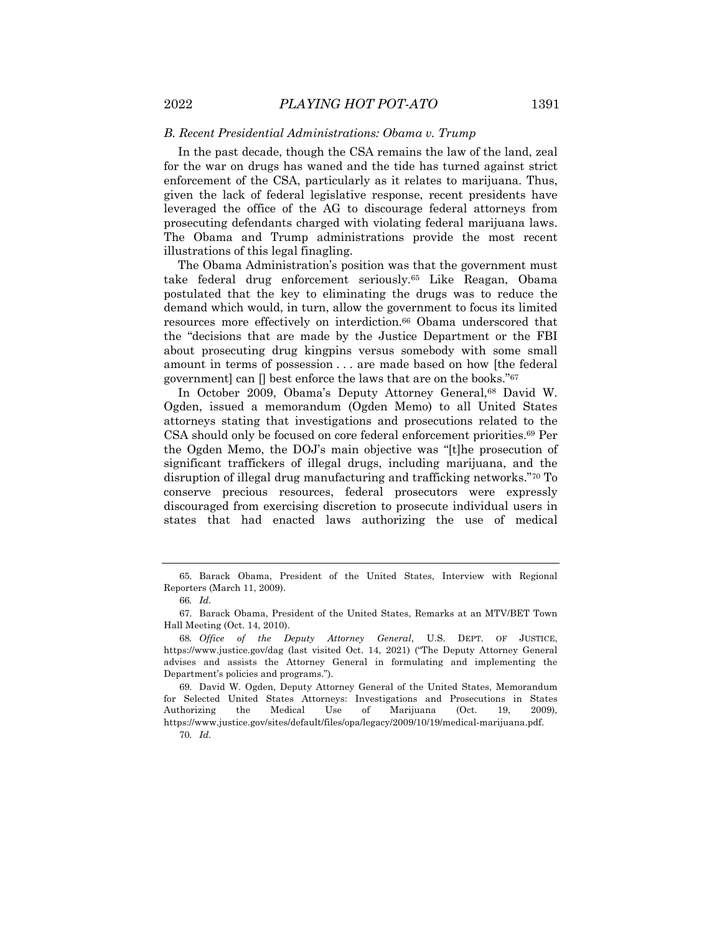#### *B. Recent Presidential Administrations: Obama v. Trump*

In the past decade, though the CSA remains the law of the land, zeal for the war on drugs has waned and the tide has turned against strict enforcement of the CSA, particularly as it relates to marijuana. Thus, given the lack of federal legislative response, recent presidents have leveraged the office of the AG to discourage federal attorneys from prosecuting defendants charged with violating federal marijuana laws. The Obama and Trump administrations provide the most recent illustrations of this legal finagling.

The Obama Administration's position was that the government must take federal drug enforcement seriously.65 Like Reagan, Obama postulated that the key to eliminating the drugs was to reduce the demand which would, in turn, allow the government to focus its limited resources more effectively on interdiction.66 Obama underscored that the "decisions that are made by the Justice Department or the FBI about prosecuting drug kingpins versus somebody with some small amount in terms of possession . . . are made based on how [the federal government] can  $\Box$  best enforce the laws that are on the books."<sup>67</sup>

In October 2009, Obama's Deputy Attorney General,<sup>68</sup> David W. Ogden, issued a memorandum (Ogden Memo) to all United States attorneys stating that investigations and prosecutions related to the CSA should only be focused on core federal enforcement priorities.69 Per the Ogden Memo, the DOJ's main objective was "[t]he prosecution of significant traffickers of illegal drugs, including marijuana, and the disruption of illegal drug manufacturing and trafficking networks."70 To conserve precious resources, federal prosecutors were expressly discouraged from exercising discretion to prosecute individual users in states that had enacted laws authorizing the use of medical

<sup>65.</sup> Barack Obama, President of the United States, Interview with Regional Reporters (March 11, 2009).

<sup>66</sup>*. Id.*

<sup>67.</sup> Barack Obama, President of the United States, Remarks at an MTV/BET Town Hall Meeting (Oct. 14, 2010).

<sup>68</sup>*. Office of the Deputy Attorney General*, U.S. DEPT. OF JUSTICE, https://www.justice.gov/dag (last visited Oct. 14, 2021) ("The Deputy Attorney General advises and assists the Attorney General in formulating and implementing the Department's policies and programs.").

<sup>69.</sup> David W. Ogden, Deputy Attorney General of the United States, Memorandum for Selected United States Attorneys: Investigations and Prosecutions in States Authorizing the Medical Use of Marijuana (Oct. 19, 2009), https://www.justice.gov/sites/default/files/opa/legacy/2009/10/19/medical-marijuana.pdf.

<sup>70</sup>*. Id.*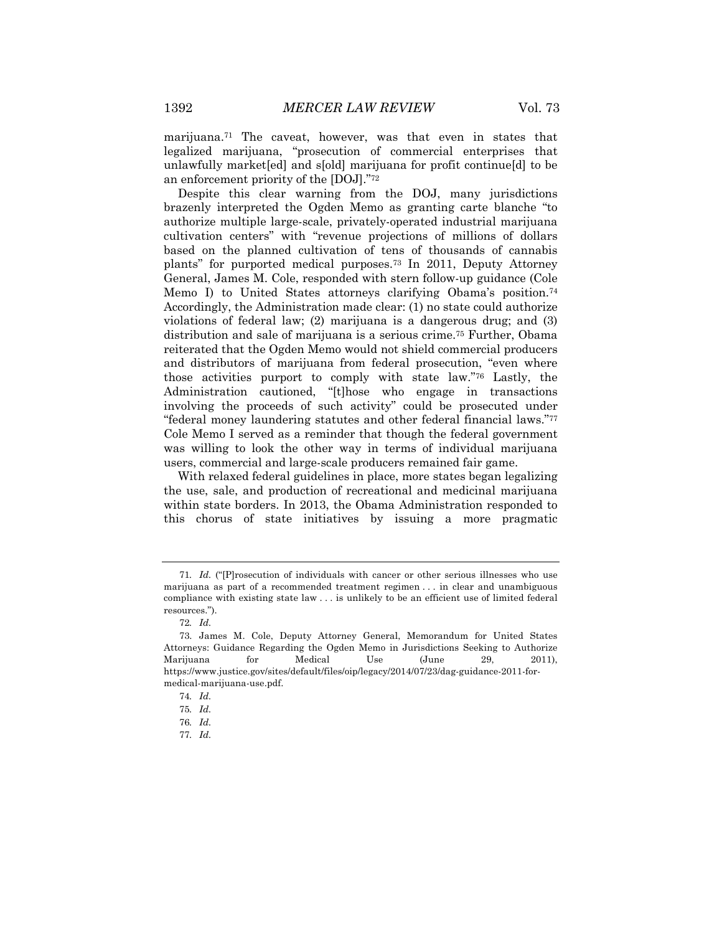marijuana.71 The caveat, however, was that even in states that legalized marijuana, "prosecution of commercial enterprises that unlawfully market[ed] and s[old] marijuana for profit continue[d] to be an enforcement priority of the [DOJ]."72

Despite this clear warning from the DOJ, many jurisdictions brazenly interpreted the Ogden Memo as granting carte blanche "to authorize multiple large-scale, privately-operated industrial marijuana cultivation centers" with "revenue projections of millions of dollars based on the planned cultivation of tens of thousands of cannabis plants" for purported medical purposes.73 In 2011, Deputy Attorney General, James M. Cole, responded with stern follow-up guidance (Cole Memo I) to United States attorneys clarifying Obama's position.<sup>74</sup> Accordingly, the Administration made clear: (1) no state could authorize violations of federal law; (2) marijuana is a dangerous drug; and (3) distribution and sale of marijuana is a serious crime.75 Further, Obama reiterated that the Ogden Memo would not shield commercial producers and distributors of marijuana from federal prosecution, "even where those activities purport to comply with state law."76 Lastly, the Administration cautioned, "[t]hose who engage in transactions involving the proceeds of such activity" could be prosecuted under "federal money laundering statutes and other federal financial laws."77 Cole Memo I served as a reminder that though the federal government was willing to look the other way in terms of individual marijuana users, commercial and large-scale producers remained fair game.

With relaxed federal guidelines in place, more states began legalizing the use, sale, and production of recreational and medicinal marijuana within state borders. In 2013, the Obama Administration responded to this chorus of state initiatives by issuing a more pragmatic

77*. Id.*

<sup>71</sup>*. Id.* ("[P]rosecution of individuals with cancer or other serious illnesses who use marijuana as part of a recommended treatment regimen . . . in clear and unambiguous compliance with existing state law . . . is unlikely to be an efficient use of limited federal resources.").

<sup>72</sup>*. Id.*

<sup>73.</sup> James M. Cole, Deputy Attorney General, Memorandum for United States Attorneys: Guidance Regarding the Ogden Memo in Jurisdictions Seeking to Authorize Marijuana for Medical Use (June 29, 2011), https://www.justice.gov/sites/default/files/oip/legacy/2014/07/23/dag-guidance-2011-formedical-marijuana-use.pdf.

<sup>74</sup>*. Id.*

<sup>75</sup>*. Id.*

<sup>76</sup>*. Id.*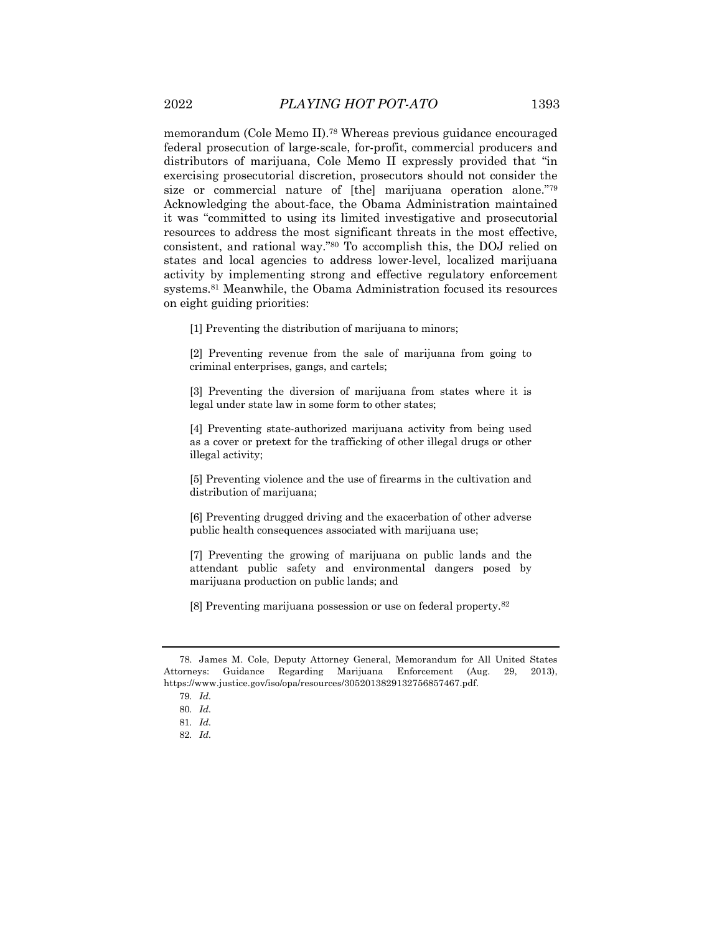memorandum (Cole Memo II).78 Whereas previous guidance encouraged federal prosecution of large-scale, for-profit, commercial producers and distributors of marijuana, Cole Memo II expressly provided that "in exercising prosecutorial discretion, prosecutors should not consider the size or commercial nature of [the] marijuana operation alone."79 Acknowledging the about-face, the Obama Administration maintained it was "committed to using its limited investigative and prosecutorial resources to address the most significant threats in the most effective, consistent, and rational way."80 To accomplish this, the DOJ relied on states and local agencies to address lower-level, localized marijuana activity by implementing strong and effective regulatory enforcement systems.81 Meanwhile, the Obama Administration focused its resources on eight guiding priorities:

[1] Preventing the distribution of marijuana to minors;

[2] Preventing revenue from the sale of marijuana from going to criminal enterprises, gangs, and cartels;

[3] Preventing the diversion of marijuana from states where it is legal under state law in some form to other states;

[4] Preventing state-authorized marijuana activity from being used as a cover or pretext for the trafficking of other illegal drugs or other illegal activity;

[5] Preventing violence and the use of firearms in the cultivation and distribution of marijuana;

[6] Preventing drugged driving and the exacerbation of other adverse public health consequences associated with marijuana use;

[7] Preventing the growing of marijuana on public lands and the attendant public safety and environmental dangers posed by marijuana production on public lands; and

[8] Preventing marijuana possession or use on federal property.82

<sup>78.</sup> James M. Cole, Deputy Attorney General, Memorandum for All United States Attorneys: Guidance Regarding Marijuana Enforcement (Aug. 29, 2013), https://www.justice.gov/iso/opa/resources/3052013829132756857467.pdf.

<sup>79</sup>*. Id.*

<sup>80</sup>*. Id.*

<sup>81</sup>*. Id.*

<sup>82</sup>*. Id.*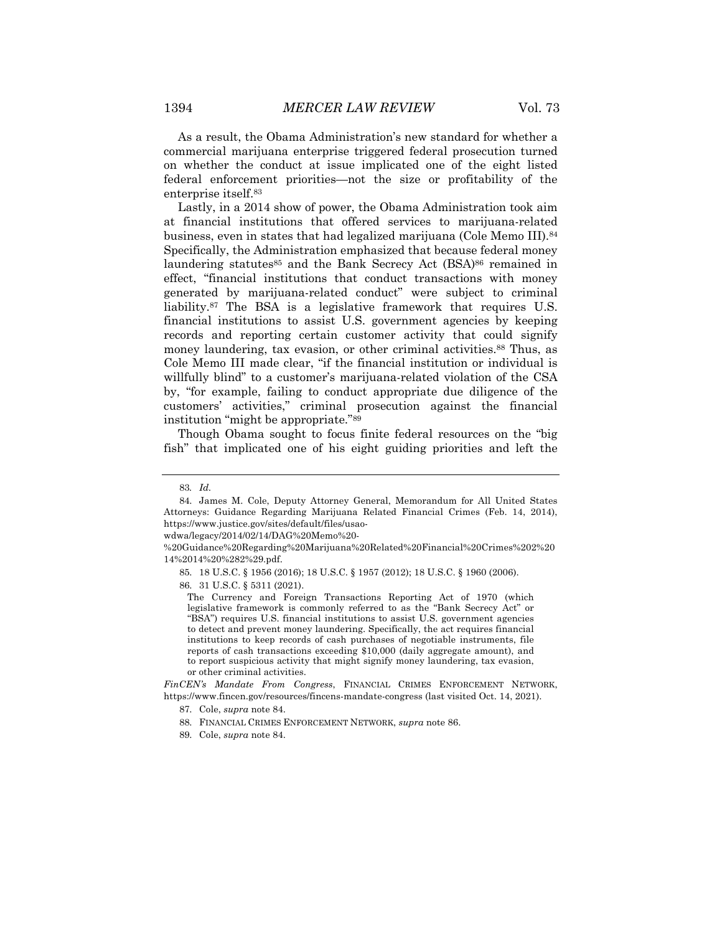As a result, the Obama Administration's new standard for whether a commercial marijuana enterprise triggered federal prosecution turned on whether the conduct at issue implicated one of the eight listed federal enforcement priorities—not the size or profitability of the enterprise itself.83

Lastly, in a 2014 show of power, the Obama Administration took aim at financial institutions that offered services to marijuana-related business, even in states that had legalized marijuana (Cole Memo III).84 Specifically, the Administration emphasized that because federal money laundering statutes<sup>85</sup> and the Bank Secrecy Act (BSA)<sup>86</sup> remained in effect, "financial institutions that conduct transactions with money generated by marijuana-related conduct" were subject to criminal liability.87 The BSA is a legislative framework that requires U.S. financial institutions to assist U.S. government agencies by keeping records and reporting certain customer activity that could signify money laundering, tax evasion, or other criminal activities.<sup>88</sup> Thus, as Cole Memo III made clear, "if the financial institution or individual is willfully blind" to a customer's marijuana-related violation of the CSA by, "for example, failing to conduct appropriate due diligence of the customers' activities," criminal prosecution against the financial institution "might be appropriate."89

Though Obama sought to focus finite federal resources on the "big fish" that implicated one of his eight guiding priorities and left the

86. 31 U.S.C. § 5311 (2021).

*FinCEN's Mandate From Congress*, FINANCIAL CRIMES ENFORCEMENT NETWORK, https://www.fincen.gov/resources/fincens-mandate-congress (last visited Oct. 14, 2021).

<sup>83</sup>*. Id.*

<sup>84.</sup> James M. Cole, Deputy Attorney General, Memorandum for All United States Attorneys: Guidance Regarding Marijuana Related Financial Crimes (Feb. 14, 2014), https://www.justice.gov/sites/default/files/usao-

wdwa/legacy/2014/02/14/DAG%20Memo%20-

<sup>%20</sup>Guidance%20Regarding%20Marijuana%20Related%20Financial%20Crimes%202%20 14%2014%20%282%29.pdf.

<sup>85.</sup> 18 U.S.C. § 1956 (2016); 18 U.S.C. § 1957 (2012); 18 U.S.C. § 1960 (2006).

The Currency and Foreign Transactions Reporting Act of 1970 (which legislative framework is commonly referred to as the "Bank Secrecy Act" or "BSA") requires U.S. financial institutions to assist U.S. government agencies to detect and prevent money laundering. Specifically, the act requires financial institutions to keep records of cash purchases of negotiable instruments, file reports of cash transactions exceeding \$10,000 (daily aggregate amount), and to report suspicious activity that might signify money laundering, tax evasion, or other criminal activities.

<sup>87.</sup> Cole, *supra* note 84.

<sup>88.</sup> FINANCIAL CRIMES ENFORCEMENT NETWORK, *supra* note 86.

<sup>89.</sup> Cole, *supra* note 84.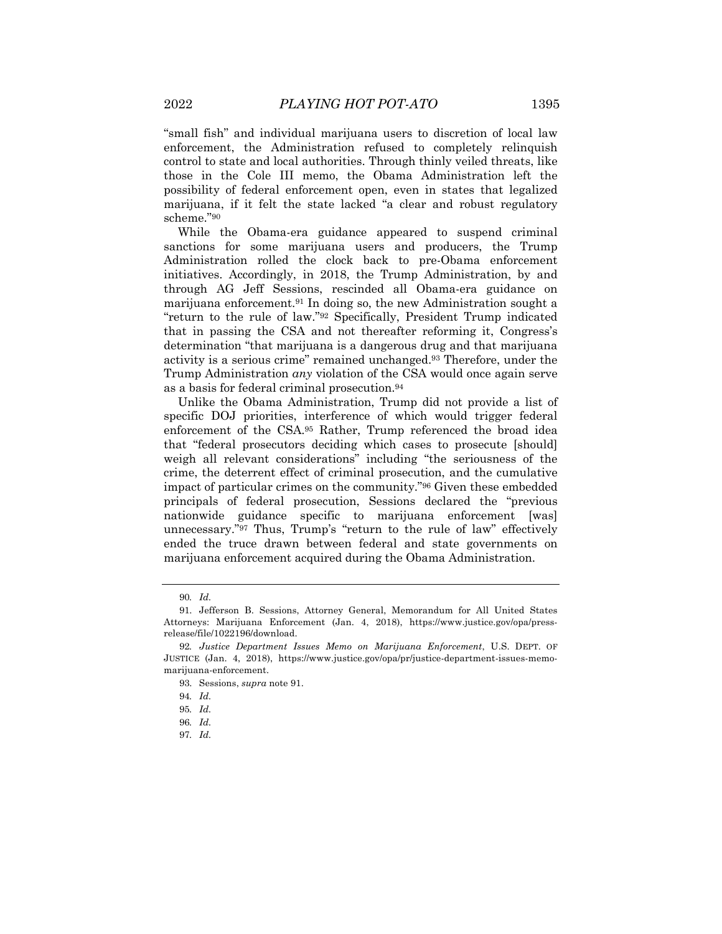"small fish" and individual marijuana users to discretion of local law enforcement, the Administration refused to completely relinquish control to state and local authorities. Through thinly veiled threats, like those in the Cole III memo, the Obama Administration left the possibility of federal enforcement open, even in states that legalized marijuana, if it felt the state lacked "a clear and robust regulatory scheme."90

While the Obama-era guidance appeared to suspend criminal sanctions for some marijuana users and producers, the Trump Administration rolled the clock back to pre-Obama enforcement initiatives. Accordingly, in 2018, the Trump Administration, by and through AG Jeff Sessions, rescinded all Obama-era guidance on marijuana enforcement.91 In doing so, the new Administration sought a "return to the rule of law."92 Specifically, President Trump indicated that in passing the CSA and not thereafter reforming it, Congress's determination "that marijuana is a dangerous drug and that marijuana activity is a serious crime" remained unchanged.93 Therefore, under the Trump Administration *any* violation of the CSA would once again serve as a basis for federal criminal prosecution.94

Unlike the Obama Administration, Trump did not provide a list of specific DOJ priorities, interference of which would trigger federal enforcement of the CSA.95 Rather, Trump referenced the broad idea that "federal prosecutors deciding which cases to prosecute [should] weigh all relevant considerations" including "the seriousness of the crime, the deterrent effect of criminal prosecution, and the cumulative impact of particular crimes on the community."96 Given these embedded principals of federal prosecution, Sessions declared the "previous nationwide guidance specific to marijuana enforcement [was] unnecessary."97 Thus, Trump's "return to the rule of law" effectively ended the truce drawn between federal and state governments on marijuana enforcement acquired during the Obama Administration.

<sup>90</sup>*. Id.*

<sup>91.</sup> Jefferson B. Sessions, Attorney General, Memorandum for All United States Attorneys: Marijuana Enforcement (Jan. 4, 2018), https://www.justice.gov/opa/pressrelease/file/1022196/download.

<sup>92</sup>*. Justice Department Issues Memo on Marijuana Enforcement*, U.S. DEPT. OF JUSTICE (Jan. 4, 2018), https://www.justice.gov/opa/pr/justice-department-issues-memomarijuana-enforcement.

<sup>93.</sup> Sessions, *supra* note 91.

<sup>94</sup>*. Id.*

<sup>95</sup>*. Id.*

<sup>96</sup>*. Id.*

<sup>97</sup>*. Id.*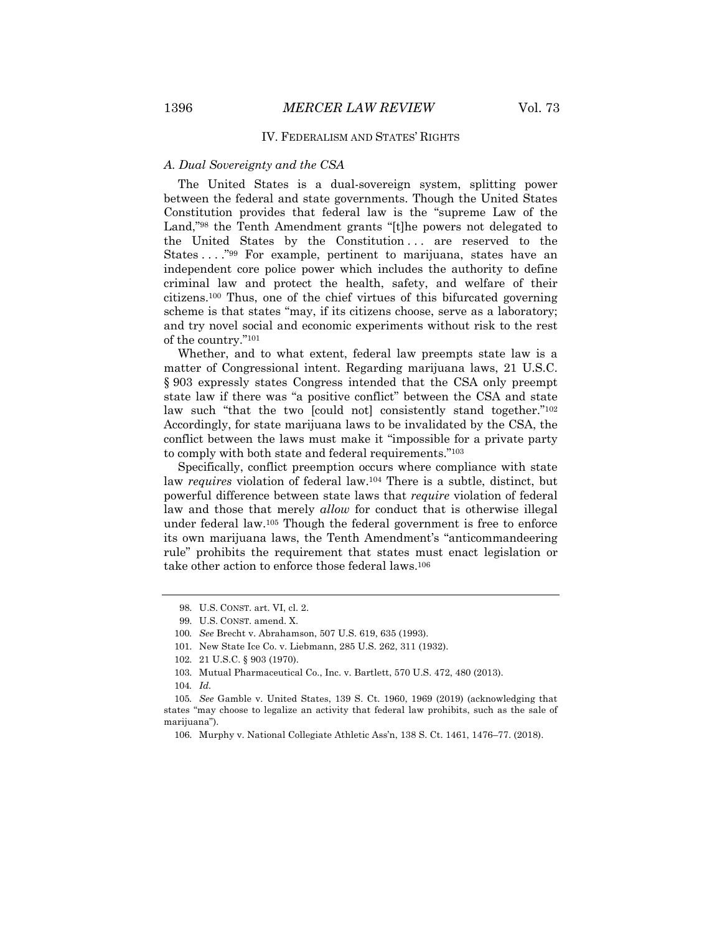#### IV. FEDERALISM AND STATES' RIGHTS

# *A. Dual Sovereignty and the CSA*

The United States is a dual-sovereign system, splitting power between the federal and state governments. Though the United States Constitution provides that federal law is the "supreme Law of the Land,"98 the Tenth Amendment grants "[t]he powers not delegated to the United States by the Constitution ... are reserved to the States . . . ."99 For example, pertinent to marijuana, states have an independent core police power which includes the authority to define criminal law and protect the health, safety, and welfare of their citizens.100 Thus, one of the chief virtues of this bifurcated governing scheme is that states "may, if its citizens choose, serve as a laboratory; and try novel social and economic experiments without risk to the rest of the country."101

Whether, and to what extent, federal law preempts state law is a matter of Congressional intent. Regarding marijuana laws, 21 U.S.C. § 903 expressly states Congress intended that the CSA only preempt state law if there was "a positive conflict" between the CSA and state law such "that the two [could not] consistently stand together."<sup>102</sup> Accordingly, for state marijuana laws to be invalidated by the CSA, the conflict between the laws must make it "impossible for a private party to comply with both state and federal requirements."103

Specifically, conflict preemption occurs where compliance with state law *requires* violation of federal law.104 There is a subtle, distinct, but powerful difference between state laws that *require* violation of federal law and those that merely *allow* for conduct that is otherwise illegal under federal law.105 Though the federal government is free to enforce its own marijuana laws, the Tenth Amendment's "anticommandeering rule" prohibits the requirement that states must enact legislation or take other action to enforce those federal laws.106

<sup>98.</sup> U.S. CONST. art. VI, cl. 2.

<sup>99.</sup> U.S. CONST. amend. X.

<sup>100</sup>*. See* Brecht v. Abrahamson, 507 U.S. 619, 635 (1993).

<sup>101.</sup> New State Ice Co. v. Liebmann, 285 U.S. 262, 311 (1932).

<sup>102.</sup> 21 U.S.C. § 903 (1970).

<sup>103.</sup> Mutual Pharmaceutical Co., Inc. v. Bartlett, 570 U.S. 472, 480 (2013).

<sup>104</sup>*. Id.*

<sup>105</sup>*. See* Gamble v. United States, 139 S. Ct. 1960, 1969 (2019) (acknowledging that states "may choose to legalize an activity that federal law prohibits, such as the sale of marijuana").

<sup>106.</sup> Murphy v. National Collegiate Athletic Ass'n, 138 S. Ct. 1461, 1476–77. (2018).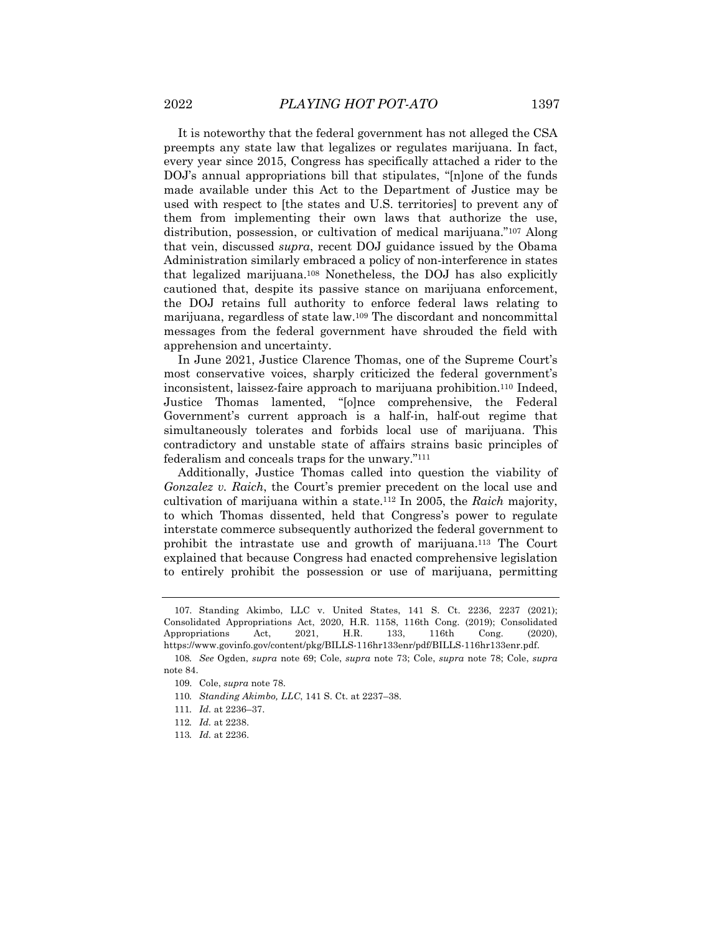It is noteworthy that the federal government has not alleged the CSA preempts any state law that legalizes or regulates marijuana. In fact,

every year since 2015, Congress has specifically attached a rider to the DOJ's annual appropriations bill that stipulates, "[n]one of the funds made available under this Act to the Department of Justice may be used with respect to [the states and U.S. territories] to prevent any of them from implementing their own laws that authorize the use, distribution, possession, or cultivation of medical marijuana."107 Along that vein, discussed *supra*, recent DOJ guidance issued by the Obama Administration similarly embraced a policy of non-interference in states that legalized marijuana.108 Nonetheless, the DOJ has also explicitly cautioned that, despite its passive stance on marijuana enforcement, the DOJ retains full authority to enforce federal laws relating to marijuana, regardless of state law.109 The discordant and noncommittal messages from the federal government have shrouded the field with apprehension and uncertainty.

In June 2021, Justice Clarence Thomas, one of the Supreme Court's most conservative voices, sharply criticized the federal government's inconsistent, laissez-faire approach to marijuana prohibition.110 Indeed, Justice Thomas lamented, "[o]nce comprehensive, the Federal Government's current approach is a half-in, half-out regime that simultaneously tolerates and forbids local use of marijuana. This contradictory and unstable state of affairs strains basic principles of federalism and conceals traps for the unwary."111

Additionally, Justice Thomas called into question the viability of *Gonzalez v. Raich*, the Court's premier precedent on the local use and cultivation of marijuana within a state.112 In 2005, the *Raich* majority, to which Thomas dissented, held that Congress's power to regulate interstate commerce subsequently authorized the federal government to prohibit the intrastate use and growth of marijuana.113 The Court explained that because Congress had enacted comprehensive legislation to entirely prohibit the possession or use of marijuana, permitting

108*. See* Ogden, *supra* note 69; Cole, *supra* note 73; Cole, *supra* note 78; Cole, *supra* note 84.

<sup>107.</sup> Standing Akimbo, LLC v. United States, 141 S. Ct. 2236, 2237 (2021); Consolidated Appropriations Act, 2020, H.R. 1158, 116th Cong. (2019); Consolidated Appropriations Act, 2021, H.R. 133, 116th Cong. (2020), https://www.govinfo.gov/content/pkg/BILLS-116hr133enr/pdf/BILLS-116hr133enr.pdf.

<sup>109.</sup> Cole, *supra* note 78.

<sup>110</sup>*. Standing Akimbo, LLC*, 141 S. Ct. at 2237–38.

<sup>111</sup>*. Id.* at 2236–37.

<sup>112</sup>*. Id.* at 2238.

<sup>113</sup>*. Id.* at 2236.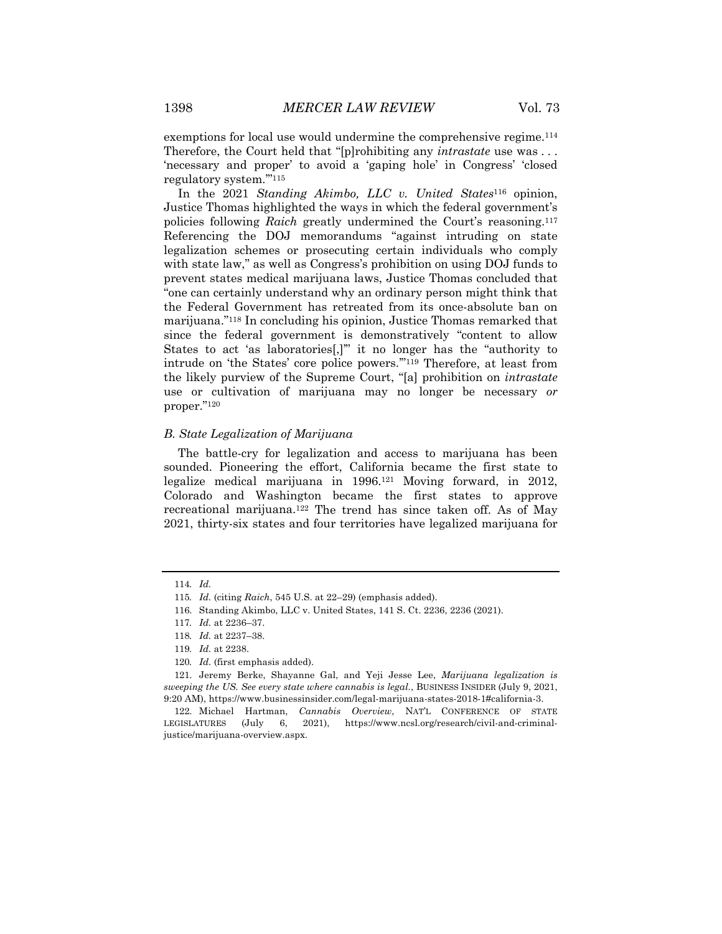exemptions for local use would undermine the comprehensive regime.114 Therefore, the Court held that "[p]rohibiting any *intrastate* use was . . . 'necessary and proper' to avoid a 'gaping hole' in Congress' 'closed regulatory system.'"115

In the 2021 *Standing Akimbo, LLC v. United States*<sup>116</sup> opinion, Justice Thomas highlighted the ways in which the federal government's policies following *Raich* greatly undermined the Court's reasoning.117 Referencing the DOJ memorandums "against intruding on state legalization schemes or prosecuting certain individuals who comply with state law," as well as Congress's prohibition on using DOJ funds to prevent states medical marijuana laws, Justice Thomas concluded that "one can certainly understand why an ordinary person might think that the Federal Government has retreated from its once-absolute ban on marijuana."118 In concluding his opinion, Justice Thomas remarked that since the federal government is demonstratively "content to allow States to act 'as laboratories[,]'" it no longer has the "authority to intrude on 'the States' core police powers.'"119 Therefore, at least from the likely purview of the Supreme Court, "[a] prohibition on *intrastate* use or cultivation of marijuana may no longer be necessary *or* proper."120

# *B. State Legalization of Marijuana*

The battle-cry for legalization and access to marijuana has been sounded. Pioneering the effort, California became the first state to legalize medical marijuana in  $1996^{121}$  Moving forward, in 2012, Colorado and Washington became the first states to approve recreational marijuana.122 The trend has since taken off. As of May 2021, thirty-six states and four territories have legalized marijuana for

<sup>114</sup>*. Id.*

<sup>115</sup>*. Id.* (citing *Raich*, 545 U.S. at 22–29) (emphasis added).

<sup>116.</sup> Standing Akimbo, LLC v. United States, 141 S. Ct. 2236, 2236 (2021).

<sup>117</sup>*. Id.* at 2236–37.

<sup>118</sup>*. Id.* at 2237–38.

<sup>119</sup>*. Id.* at 2238.

<sup>120</sup>*. Id.* (first emphasis added).

<sup>121.</sup> Jeremy Berke, Shayanne Gal, and Yeji Jesse Lee, *Marijuana legalization is sweeping the US. See every state where cannabis is legal.*, BUSINESS INSIDER (July 9, 2021, 9:20 AM), https://www.businessinsider.com/legal-marijuana-states-2018-1#california-3.

<sup>122.</sup> Michael Hartman, *Cannabis Overview*, NAT'L CONFERENCE OF STATE LEGISLATURES (July 6, 2021), https://www.ncsl.org/research/civil-and-criminaljustice/marijuana-overview.aspx.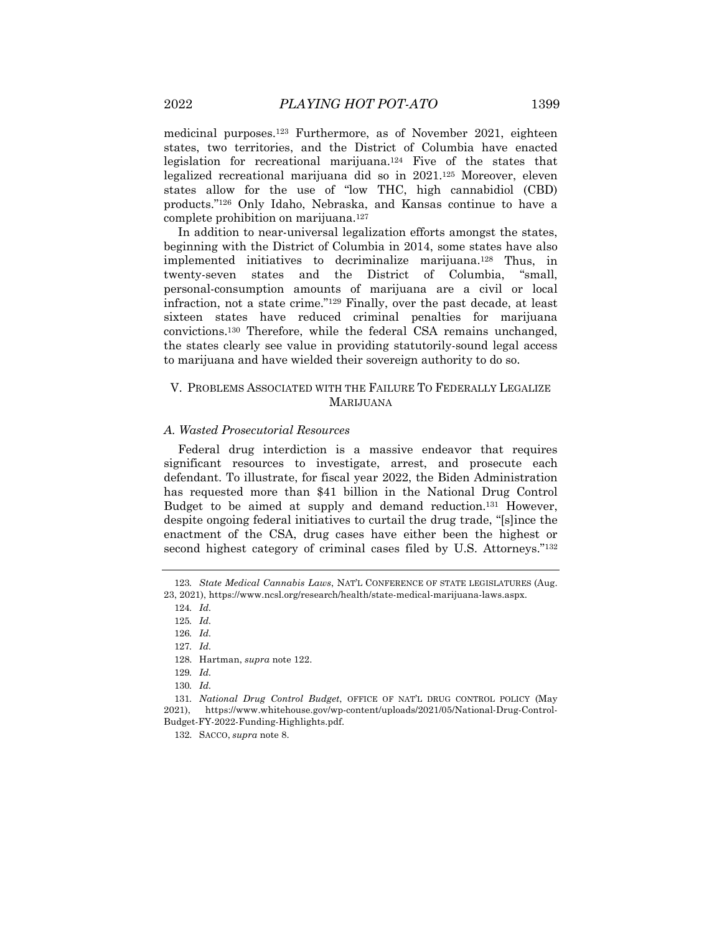medicinal purposes.123 Furthermore, as of November 2021, eighteen states, two territories, and the District of Columbia have enacted legislation for recreational marijuana.124 Five of the states that legalized recreational marijuana did so in 2021.125 Moreover, eleven states allow for the use of "low THC, high cannabidiol (CBD) products."126 Only Idaho, Nebraska, and Kansas continue to have a complete prohibition on marijuana.127

In addition to near-universal legalization efforts amongst the states, beginning with the District of Columbia in 2014, some states have also implemented initiatives to decriminalize marijuana.128 Thus, in twenty-seven states and the District of Columbia, "small, personal-consumption amounts of marijuana are a civil or local infraction, not a state crime."129 Finally, over the past decade, at least sixteen states have reduced criminal penalties for marijuana convictions.130 Therefore, while the federal CSA remains unchanged, the states clearly see value in providing statutorily-sound legal access to marijuana and have wielded their sovereign authority to do so.

# V. PROBLEMS ASSOCIATED WITH THE FAILURE TO FEDERALLY LEGALIZE MARIJUANA

# *A. Wasted Prosecutorial Resources*

Federal drug interdiction is a massive endeavor that requires significant resources to investigate, arrest, and prosecute each defendant. To illustrate, for fiscal year 2022, the Biden Administration has requested more than \$41 billion in the National Drug Control Budget to be aimed at supply and demand reduction.131 However, despite ongoing federal initiatives to curtail the drug trade, "[s]ince the enactment of the CSA, drug cases have either been the highest or second highest category of criminal cases filed by U.S. Attorneys."132

<sup>123</sup>*. State Medical Cannabis Laws*, NAT'L CONFERENCE OF STATE LEGISLATURES (Aug. 23, 2021), https://www.ncsl.org/research/health/state-medical-marijuana-laws.aspx.

<sup>124</sup>*. Id.*

<sup>125</sup>*. Id.*

<sup>126</sup>*. Id.*

<sup>127</sup>*. Id.*

<sup>128.</sup> Hartman, *supra* note 122.

<sup>129</sup>*. Id.*

<sup>130</sup>*. Id.*

<sup>131</sup>*. National Drug Control Budget*, OFFICE OF NAT'L DRUG CONTROL POLICY (May 2021), https://www.whitehouse.gov/wp-content/uploads/2021/05/National-Drug-Control-Budget-FY-2022-Funding-Highlights.pdf.

<sup>132.</sup> SACCO, *supra* note 8.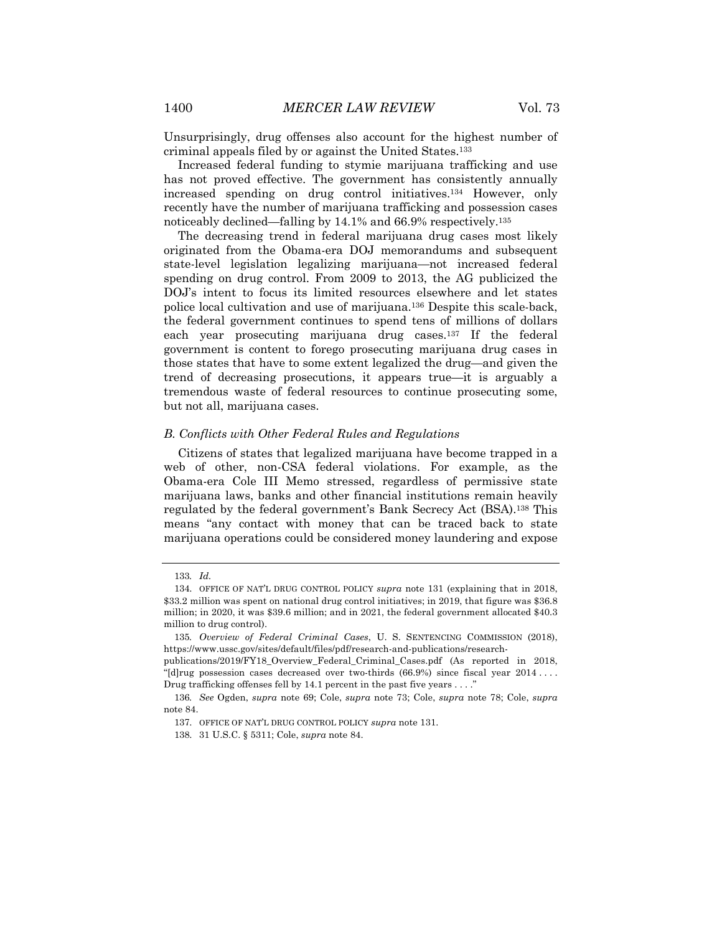Unsurprisingly, drug offenses also account for the highest number of criminal appeals filed by or against the United States.133

Increased federal funding to stymie marijuana trafficking and use has not proved effective. The government has consistently annually increased spending on drug control initiatives.134 However, only recently have the number of marijuana trafficking and possession cases noticeably declined—falling by 14.1% and 66.9% respectively.135

The decreasing trend in federal marijuana drug cases most likely originated from the Obama-era DOJ memorandums and subsequent state-level legislation legalizing marijuana—not increased federal spending on drug control. From 2009 to 2013, the AG publicized the DOJ's intent to focus its limited resources elsewhere and let states police local cultivation and use of marijuana.136 Despite this scale-back, the federal government continues to spend tens of millions of dollars each year prosecuting marijuana drug cases.137 If the federal government is content to forego prosecuting marijuana drug cases in those states that have to some extent legalized the drug—and given the trend of decreasing prosecutions, it appears true—it is arguably a tremendous waste of federal resources to continue prosecuting some, but not all, marijuana cases.

# *B. Conflicts with Other Federal Rules and Regulations*

Citizens of states that legalized marijuana have become trapped in a web of other, non-CSA federal violations. For example, as the Obama-era Cole III Memo stressed, regardless of permissive state marijuana laws, banks and other financial institutions remain heavily regulated by the federal government's Bank Secrecy Act (BSA).138 This means "any contact with money that can be traced back to state marijuana operations could be considered money laundering and expose

<sup>133</sup>*. Id.*

<sup>134.</sup> OFFICE OF NAT'L DRUG CONTROL POLICY *supra* note 131 (explaining that in 2018, \$33.2 million was spent on national drug control initiatives; in 2019, that figure was \$36.8 million; in 2020, it was \$39.6 million; and in 2021, the federal government allocated \$40.3 million to drug control).

<sup>135</sup>*. Overview of Federal Criminal Cases*, U. S. SENTENCING COMMISSION (2018), https://www.ussc.gov/sites/default/files/pdf/research-and-publications/research-

publications/2019/FY18\_Overview\_Federal\_Criminal\_Cases.pdf (As reported in 2018, "[d]rug possession cases decreased over two-thirds (66.9%) since fiscal year 2014 . . . . Drug trafficking offenses fell by 14.1 percent in the past five years  $\dots$ .

<sup>136</sup>*. See* Ogden, *supra* note 69; Cole, *supra* note 73; Cole, *supra* note 78; Cole, *supra* note 84.

<sup>137.</sup> OFFICE OF NAT'L DRUG CONTROL POLICY *supra* note 131.

<sup>138.</sup> 31 U.S.C. § 5311; Cole, *supra* note 84.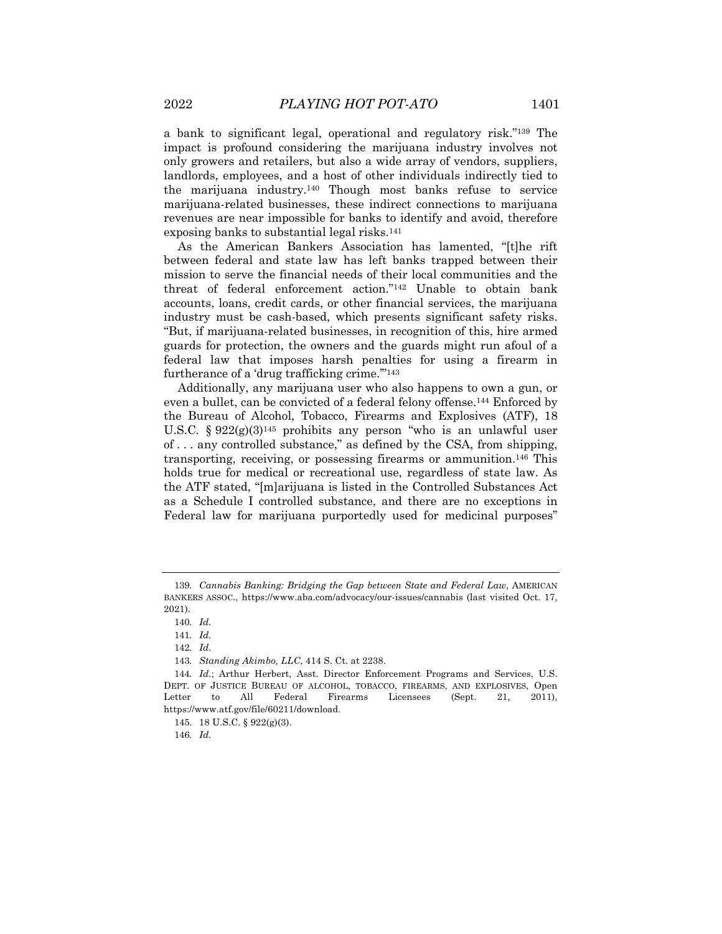a bank to significant legal, operational and regulatory risk."139 The impact is profound considering the marijuana industry involves not only growers and retailers, but also a wide array of vendors, suppliers, landlords, employees, and a host of other individuals indirectly tied to the marijuana industry.140 Though most banks refuse to service marijuana-related businesses, these indirect connections to marijuana revenues are near impossible for banks to identify and avoid, therefore exposing banks to substantial legal risks.141

As the American Bankers Association has lamented, "[t]he rift between federal and state law has left banks trapped between their mission to serve the financial needs of their local communities and the threat of federal enforcement action."142 Unable to obtain bank accounts, loans, credit cards, or other financial services, the marijuana industry must be cash-based, which presents significant safety risks. "But, if marijuana-related businesses, in recognition of this, hire armed guards for protection, the owners and the guards might run afoul of a federal law that imposes harsh penalties for using a firearm in furtherance of a 'drug trafficking crime."<sup>143</sup>

Additionally, any marijuana user who also happens to own a gun, or even a bullet, can be convicted of a federal felony offense.144 Enforced by the Bureau of Alcohol, Tobacco, Firearms and Explosives (ATF), 18 U.S.C. § 922(g)(3)145 prohibits any person "who is an unlawful user of . . . any controlled substance," as defined by the CSA, from shipping, transporting, receiving, or possessing firearms or ammunition.146 This holds true for medical or recreational use, regardless of state law. As the ATF stated, "[m]arijuana is listed in the Controlled Substances Act as a Schedule I controlled substance, and there are no exceptions in Federal law for marijuana purportedly used for medicinal purposes"

146*. Id.*

<sup>139</sup>*. Cannabis Banking: Bridging the Gap between State and Federal Law*, AMERICAN BANKERS ASSOC., https://www.aba.com/advocacy/our-issues/cannabis (last visited Oct. 17, 2021).

<sup>140</sup>*. Id.*

<sup>141</sup>*. Id.*

<sup>142</sup>*. Id.*

<sup>143</sup>*. Standing Akimbo, LLC*, 414 S. Ct. at 2238.

<sup>144</sup>*. Id.*; Arthur Herbert, Asst. Director Enforcement Programs and Services, U.S. DEPT. OF JUSTICE BUREAU OF ALCOHOL, TOBACCO, FIREARMS, AND EXPLOSIVES, Open Letter to All Federal Firearms Licensees (Sept. 21, 2011), https://www.atf.gov/file/60211/download.

<sup>145.</sup> 18 U.S.C. § 922(g)(3).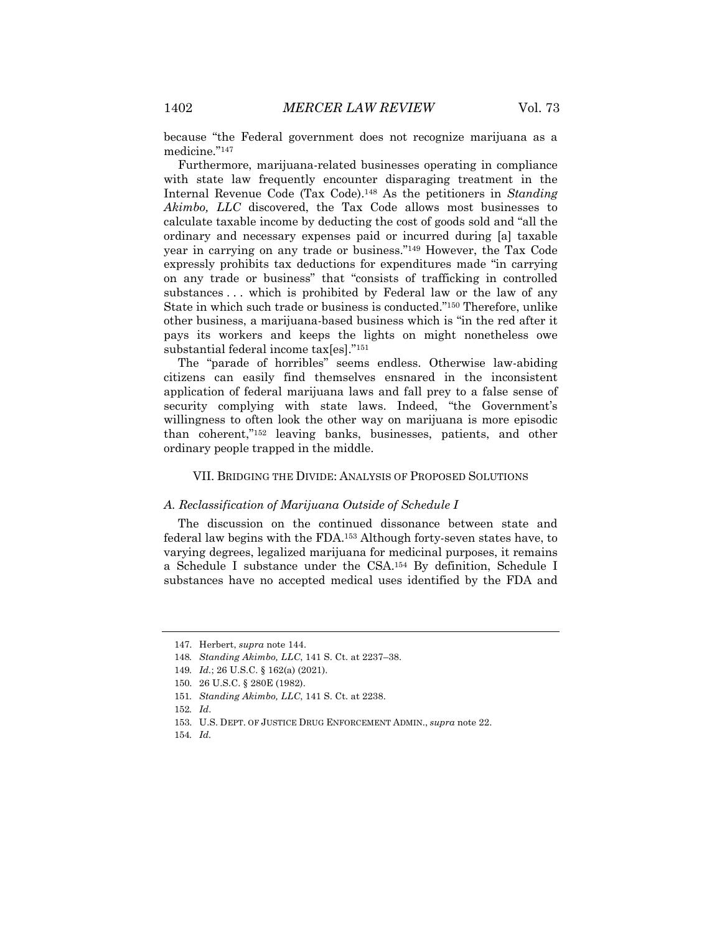because "the Federal government does not recognize marijuana as a medicine."147

Furthermore, marijuana-related businesses operating in compliance with state law frequently encounter disparaging treatment in the Internal Revenue Code (Tax Code).148 As the petitioners in *Standing Akimbo, LLC* discovered, the Tax Code allows most businesses to calculate taxable income by deducting the cost of goods sold and "all the ordinary and necessary expenses paid or incurred during [a] taxable year in carrying on any trade or business."149 However, the Tax Code expressly prohibits tax deductions for expenditures made "in carrying on any trade or business" that "consists of trafficking in controlled substances ... which is prohibited by Federal law or the law of any State in which such trade or business is conducted."150 Therefore, unlike other business, a marijuana-based business which is "in the red after it pays its workers and keeps the lights on might nonetheless owe substantial federal income tax[es]."151

The "parade of horribles" seems endless. Otherwise law-abiding citizens can easily find themselves ensnared in the inconsistent application of federal marijuana laws and fall prey to a false sense of security complying with state laws. Indeed, "the Government's willingness to often look the other way on marijuana is more episodic than coherent,"152 leaving banks, businesses, patients, and other ordinary people trapped in the middle.

# VII. BRIDGING THE DIVIDE: ANALYSIS OF PROPOSED SOLUTIONS

# *A. Reclassification of Marijuana Outside of Schedule I*

The discussion on the continued dissonance between state and federal law begins with the FDA.153 Although forty-seven states have, to varying degrees, legalized marijuana for medicinal purposes, it remains a Schedule I substance under the CSA.154 By definition, Schedule I substances have no accepted medical uses identified by the FDA and

<sup>147.</sup> Herbert, *supra* note 144.

<sup>148</sup>*. Standing Akimbo, LLC*, 141 S. Ct. at 2237–38.

<sup>149</sup>*. Id.*; 26 U.S.C. § 162(a) (2021).

<sup>150.</sup> 26 U.S.C. § 280E (1982).

<sup>151</sup>*. Standing Akimbo, LLC*, 141 S. Ct. at 2238.

<sup>152</sup>*. Id*.

<sup>153.</sup> U.S. DEPT. OF JUSTICE DRUG ENFORCEMENT ADMIN., *supra* note 22.

<sup>154</sup>*. Id.*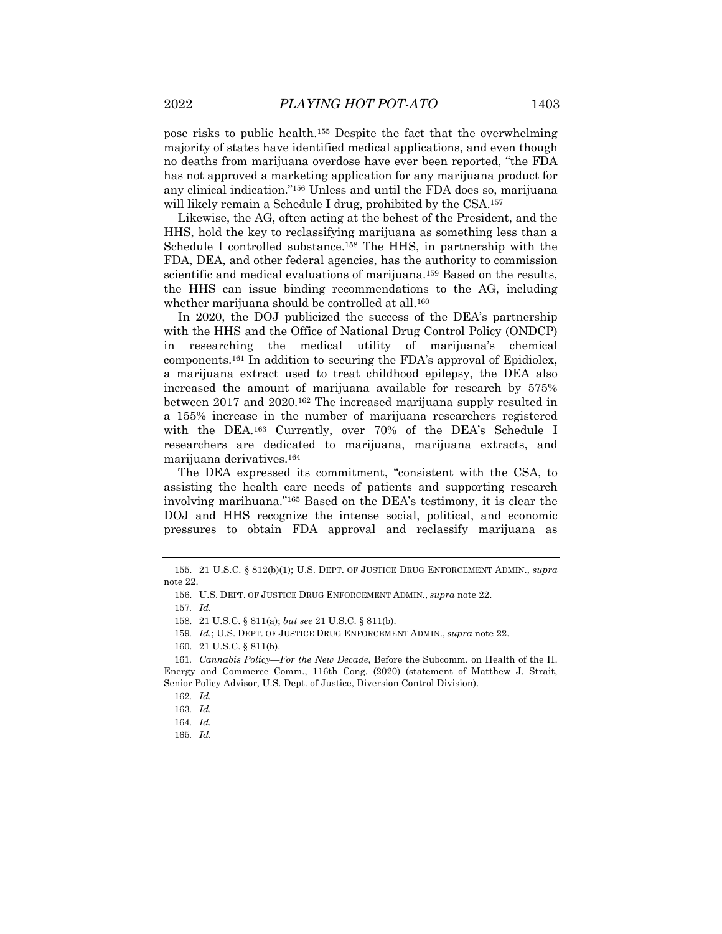pose risks to public health.155 Despite the fact that the overwhelming majority of states have identified medical applications, and even though no deaths from marijuana overdose have ever been reported, "the FDA has not approved a marketing application for any marijuana product for any clinical indication."156 Unless and until the FDA does so, marijuana will likely remain a Schedule I drug, prohibited by the CSA.<sup>157</sup>

Likewise, the AG, often acting at the behest of the President, and the HHS, hold the key to reclassifying marijuana as something less than a Schedule I controlled substance.158 The HHS, in partnership with the FDA, DEA, and other federal agencies, has the authority to commission scientific and medical evaluations of marijuana.<sup>159</sup> Based on the results, the HHS can issue binding recommendations to the AG, including whether marijuana should be controlled at all.<sup>160</sup>

In 2020, the DOJ publicized the success of the DEA's partnership with the HHS and the Office of National Drug Control Policy (ONDCP) in researching the medical utility of marijuana's chemical components.161 In addition to securing the FDA's approval of Epidiolex, a marijuana extract used to treat childhood epilepsy, the DEA also increased the amount of marijuana available for research by 575% between 2017 and 2020.162 The increased marijuana supply resulted in a 155% increase in the number of marijuana researchers registered with the DEA.163 Currently, over 70% of the DEA's Schedule I researchers are dedicated to marijuana, marijuana extracts, and marijuana derivatives.164

The DEA expressed its commitment, "consistent with the CSA, to assisting the health care needs of patients and supporting research involving marihuana."165 Based on the DEA's testimony, it is clear the DOJ and HHS recognize the intense social, political, and economic pressures to obtain FDA approval and reclassify marijuana as

<sup>155.</sup> 21 U.S.C. § 812(b)(1); U.S. DEPT. OF JUSTICE DRUG ENFORCEMENT ADMIN., *supra* note 22.

<sup>156.</sup> U.S. DEPT. OF JUSTICE DRUG ENFORCEMENT ADMIN., *supra* note 22.

<sup>157</sup>*. Id.*

<sup>158.</sup> 21 U.S.C. § 811(a); *but see* 21 U.S.C. § 811(b).

<sup>159</sup>*. Id.*; U.S. DEPT. OF JUSTICE DRUG ENFORCEMENT ADMIN., *supra* note 22.

<sup>160.</sup> 21 U.S.C. § 811(b).

<sup>161</sup>*. Cannabis Policy—For the New Decade*, Before the Subcomm. on Health of the H. Energy and Commerce Comm., 116th Cong. (2020) (statement of Matthew J. Strait, Senior Policy Advisor, U.S. Dept. of Justice, Diversion Control Division).

<sup>162</sup>*. Id.*

<sup>163</sup>*. Id.*

<sup>164</sup>*. Id.*

<sup>165</sup>*. Id.*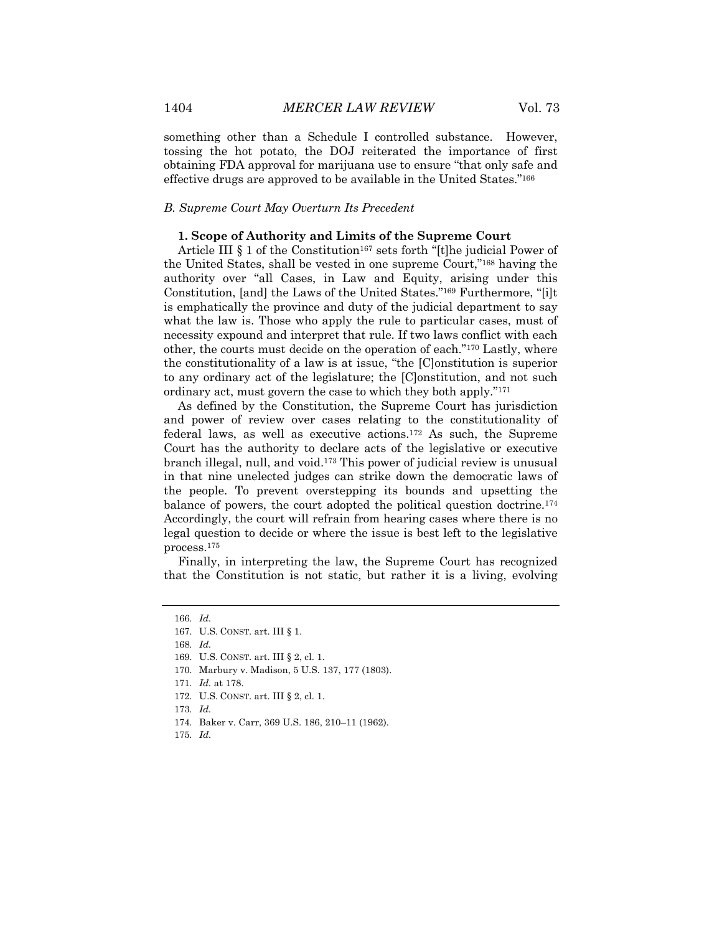something other than a Schedule I controlled substance. However, tossing the hot potato, the DOJ reiterated the importance of first obtaining FDA approval for marijuana use to ensure "that only safe and effective drugs are approved to be available in the United States."166

# *B. Supreme Court May Overturn Its Precedent*

# **1. Scope of Authority and Limits of the Supreme Court**

Article III  $\S 1$  of the Constitution<sup>167</sup> sets forth "[t]he judicial Power of the United States, shall be vested in one supreme Court,"168 having the authority over "all Cases, in Law and Equity, arising under this Constitution, [and] the Laws of the United States."169 Furthermore, "[i]t is emphatically the province and duty of the judicial department to say what the law is. Those who apply the rule to particular cases, must of necessity expound and interpret that rule. If two laws conflict with each other, the courts must decide on the operation of each."170 Lastly, where the constitutionality of a law is at issue, "the [C]onstitution is superior to any ordinary act of the legislature; the [C]onstitution, and not such ordinary act, must govern the case to which they both apply."171

As defined by the Constitution, the Supreme Court has jurisdiction and power of review over cases relating to the constitutionality of federal laws, as well as executive actions.172 As such, the Supreme Court has the authority to declare acts of the legislative or executive branch illegal, null, and void.173 This power of judicial review is unusual in that nine unelected judges can strike down the democratic laws of the people. To prevent overstepping its bounds and upsetting the balance of powers, the court adopted the political question doctrine.<sup>174</sup> Accordingly, the court will refrain from hearing cases where there is no legal question to decide or where the issue is best left to the legislative process.175

Finally, in interpreting the law, the Supreme Court has recognized that the Constitution is not static, but rather it is a living, evolving

168*. Id.*

170. Marbury v. Madison, 5 U.S. 137, 177 (1803).

- 174. Baker v. Carr, 369 U.S. 186, 210–11 (1962).
- 175*. Id.*

<sup>166</sup>*. Id.*

<sup>167.</sup> U.S. CONST. art. III § 1.

<sup>169.</sup> U.S. CONST. art. III § 2, cl. 1.

<sup>171</sup>*. Id.* at 178.

<sup>172.</sup> U.S. CONST. art. III § 2, cl. 1.

<sup>173</sup>*. Id.*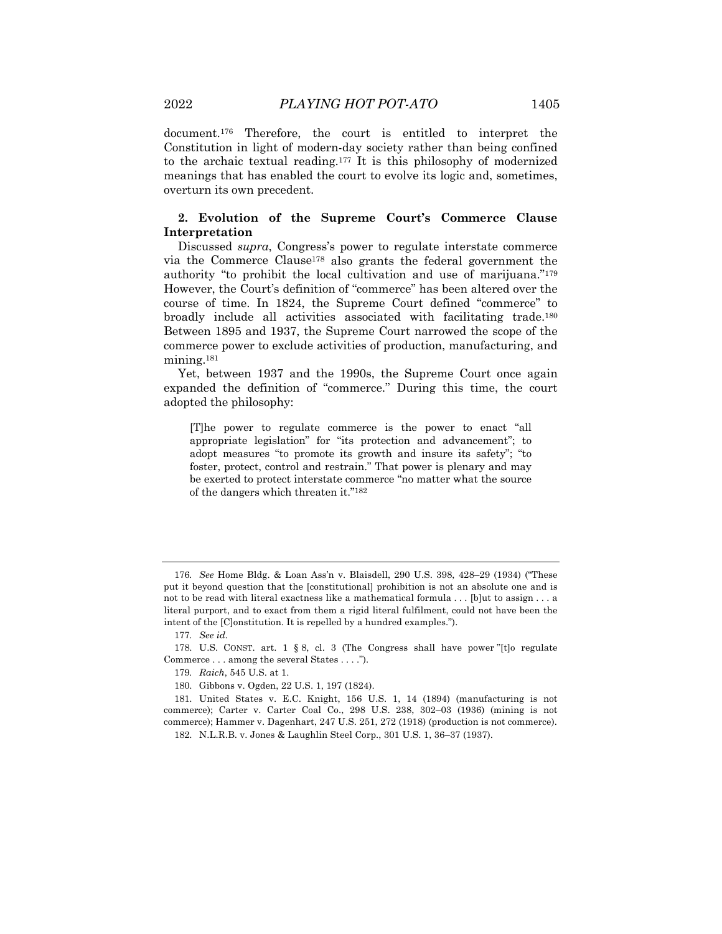document.176 Therefore, the court is entitled to interpret the Constitution in light of modern-day society rather than being confined to the archaic textual reading.177 It is this philosophy of modernized meanings that has enabled the court to evolve its logic and, sometimes, overturn its own precedent.

# **2. Evolution of the Supreme Court's Commerce Clause Interpretation**

Discussed *supra*, Congress's power to regulate interstate commerce via the Commerce Clause178 also grants the federal government the authority "to prohibit the local cultivation and use of marijuana."179 However, the Court's definition of "commerce" has been altered over the course of time. In 1824, the Supreme Court defined "commerce" to broadly include all activities associated with facilitating trade.180 Between 1895 and 1937, the Supreme Court narrowed the scope of the commerce power to exclude activities of production, manufacturing, and mining.<sup>181</sup>

Yet, between 1937 and the 1990s, the Supreme Court once again expanded the definition of "commerce." During this time, the court adopted the philosophy:

[T]he power to regulate commerce is the power to enact "all appropriate legislation" for "its protection and advancement"; to adopt measures "to promote its growth and insure its safety"; "to foster, protect, control and restrain." That power is plenary and may be exerted to protect interstate commerce "no matter what the source of the dangers which threaten it."182

<sup>176</sup>*. See* Home Bldg. & Loan Ass'n v. Blaisdell, 290 U.S. 398, 428–29 (1934) ("These put it beyond question that the [constitutional] prohibition is not an absolute one and is not to be read with literal exactness like a mathematical formula . . . [b]ut to assign . . . a literal purport, and to exact from them a rigid literal fulfilment, could not have been the intent of the [C]onstitution. It is repelled by a hundred examples.").

<sup>177</sup>*. See id.*

<sup>178.</sup> U.S. CONST. art. 1 § 8, cl. 3 (The Congress shall have power "[t]o regulate Commerce . . . among the several States . . . .").

<sup>179</sup>*. Raich*, 545 U.S. at 1.

<sup>180.</sup> Gibbons v. Ogden, 22 U.S. 1, 197 (1824).

<sup>181.</sup> United States v. E.C. Knight, 156 U.S. 1, 14 (1894) (manufacturing is not commerce); Carter v. Carter Coal Co., 298 U.S. 238, 302–03 (1936) (mining is not commerce); Hammer v. Dagenhart, 247 U.S. 251, 272 (1918) (production is not commerce).

<sup>182.</sup> N.L.R.B. v. Jones & Laughlin Steel Corp., 301 U.S. 1, 36–37 (1937).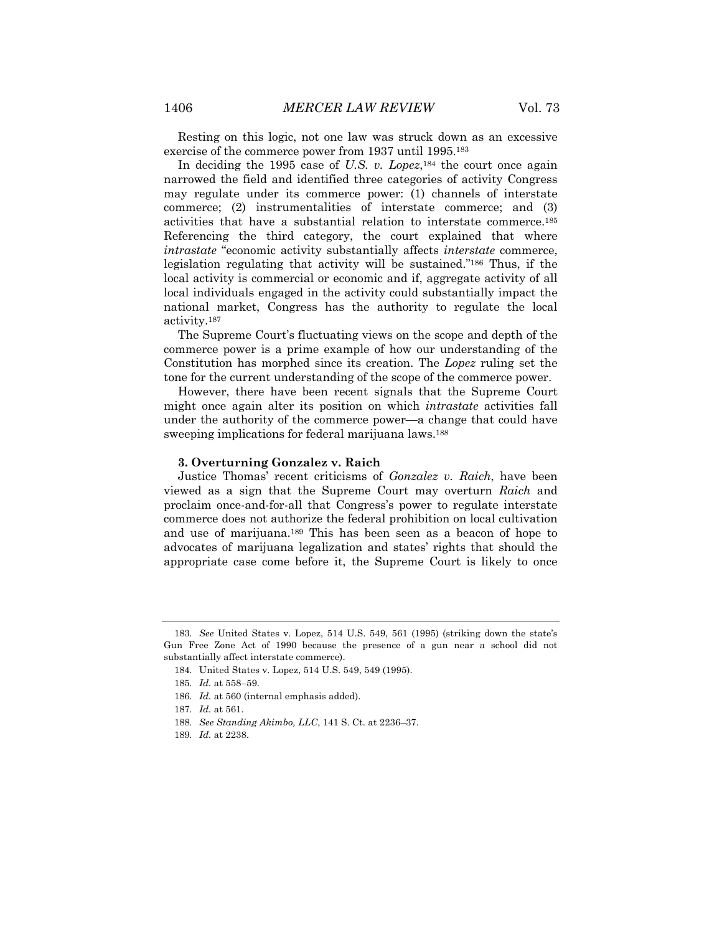Resting on this logic, not one law was struck down as an excessive exercise of the commerce power from 1937 until 1995.183

In deciding the 1995 case of *U.S. v. Lopez*,<sup>184</sup> the court once again narrowed the field and identified three categories of activity Congress may regulate under its commerce power: (1) channels of interstate commerce; (2) instrumentalities of interstate commerce; and (3) activities that have a substantial relation to interstate commerce.185 Referencing the third category, the court explained that where *intrastate* "economic activity substantially affects *interstate* commerce, legislation regulating that activity will be sustained."186 Thus, if the local activity is commercial or economic and if, aggregate activity of all local individuals engaged in the activity could substantially impact the national market, Congress has the authority to regulate the local activity.187

The Supreme Court's fluctuating views on the scope and depth of the commerce power is a prime example of how our understanding of the Constitution has morphed since its creation. The *Lopez* ruling set the tone for the current understanding of the scope of the commerce power.

However, there have been recent signals that the Supreme Court might once again alter its position on which *intrastate* activities fall under the authority of the commerce power—a change that could have sweeping implications for federal marijuana laws.188

#### **3. Overturning Gonzalez v. Raich**

Justice Thomas' recent criticisms of *Gonzalez v. Raich*, have been viewed as a sign that the Supreme Court may overturn *Raich* and proclaim once-and-for-all that Congress's power to regulate interstate commerce does not authorize the federal prohibition on local cultivation and use of marijuana.189 This has been seen as a beacon of hope to advocates of marijuana legalization and states' rights that should the appropriate case come before it, the Supreme Court is likely to once

<sup>183</sup>*. See* United States v. Lopez, 514 U.S. 549, 561 (1995) (striking down the state's Gun Free Zone Act of 1990 because the presence of a gun near a school did not substantially affect interstate commerce).

<sup>184.</sup> United States v. Lopez, 514 U.S. 549, 549 (1995).

<sup>185</sup>*. Id.* at 558–59.

<sup>186</sup>*. Id.* at 560 (internal emphasis added).

<sup>187</sup>*. Id.* at 561.

<sup>188</sup>*. See Standing Akimbo, LLC*, 141 S. Ct. at 2236–37.

<sup>189</sup>*. Id.* at 2238.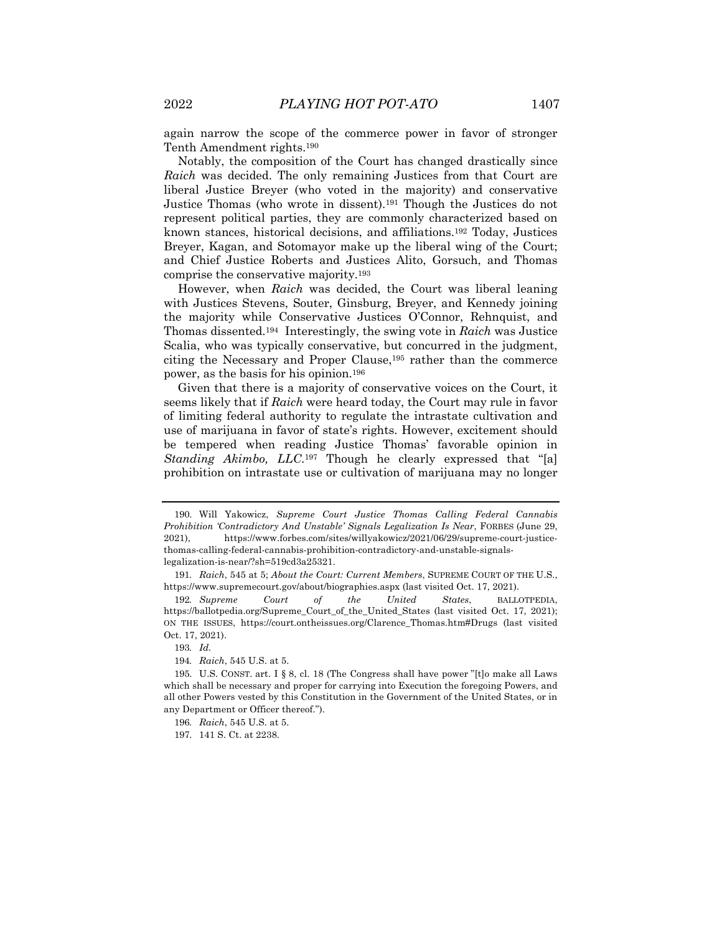again narrow the scope of the commerce power in favor of stronger Tenth Amendment rights.190

Notably, the composition of the Court has changed drastically since *Raich* was decided. The only remaining Justices from that Court are liberal Justice Breyer (who voted in the majority) and conservative Justice Thomas (who wrote in dissent).191 Though the Justices do not represent political parties, they are commonly characterized based on known stances, historical decisions, and affiliations.192 Today, Justices Breyer, Kagan, and Sotomayor make up the liberal wing of the Court; and Chief Justice Roberts and Justices Alito, Gorsuch, and Thomas comprise the conservative majority.193

However, when *Raich* was decided, the Court was liberal leaning with Justices Stevens, Souter, Ginsburg, Breyer, and Kennedy joining the majority while Conservative Justices O'Connor, Rehnquist, and Thomas dissented.194 Interestingly, the swing vote in *Raich* was Justice Scalia, who was typically conservative, but concurred in the judgment, citing the Necessary and Proper Clause,195 rather than the commerce power, as the basis for his opinion.196

Given that there is a majority of conservative voices on the Court, it seems likely that if *Raich* were heard today, the Court may rule in favor of limiting federal authority to regulate the intrastate cultivation and use of marijuana in favor of state's rights. However, excitement should be tempered when reading Justice Thomas' favorable opinion in *Standing Akimbo, LLC*.197 Though he clearly expressed that "[a] prohibition on intrastate use or cultivation of marijuana may no longer

<sup>190.</sup> Will Yakowicz, *Supreme Court Justice Thomas Calling Federal Cannabis Prohibition 'Contradictory And Unstable' Signals Legalization Is Near*, FORBES (June 29, 2021), https://www.forbes.com/sites/willyakowicz/2021/06/29/supreme-court-justicethomas-calling-federal-cannabis-prohibition-contradictory-and-unstable-signalslegalization-is-near/?sh=519cd3a25321.

<sup>191</sup>*. Raich*, 545 at 5; *About the Court: Current Members*, SUPREME COURT OF THE U.S., https://www.supremecourt.gov/about/biographies.aspx (last visited Oct. 17, 2021).

<sup>192</sup>*. Supreme Court of the United States*, BALLOTPEDIA, https://ballotpedia.org/Supreme\_Court\_of\_the\_United\_States (last visited Oct. 17, 2021); ON THE ISSUES, https://court.ontheissues.org/Clarence\_Thomas.htm#Drugs (last visited Oct. 17, 2021).

<sup>193</sup>*. Id.*

<sup>194</sup>*. Raich*, 545 U.S. at 5.

<sup>195.</sup> U.S. CONST. art. I § 8, cl. 18 (The Congress shall have power "[t]o make all Laws which shall be necessary and proper for carrying into Execution the foregoing Powers, and all other Powers vested by this Constitution in the Government of the United States, or in any Department or Officer thereof.").

<sup>196</sup>*. Raich*, 545 U.S. at 5.

<sup>197.</sup> 141 S. Ct. at 2238.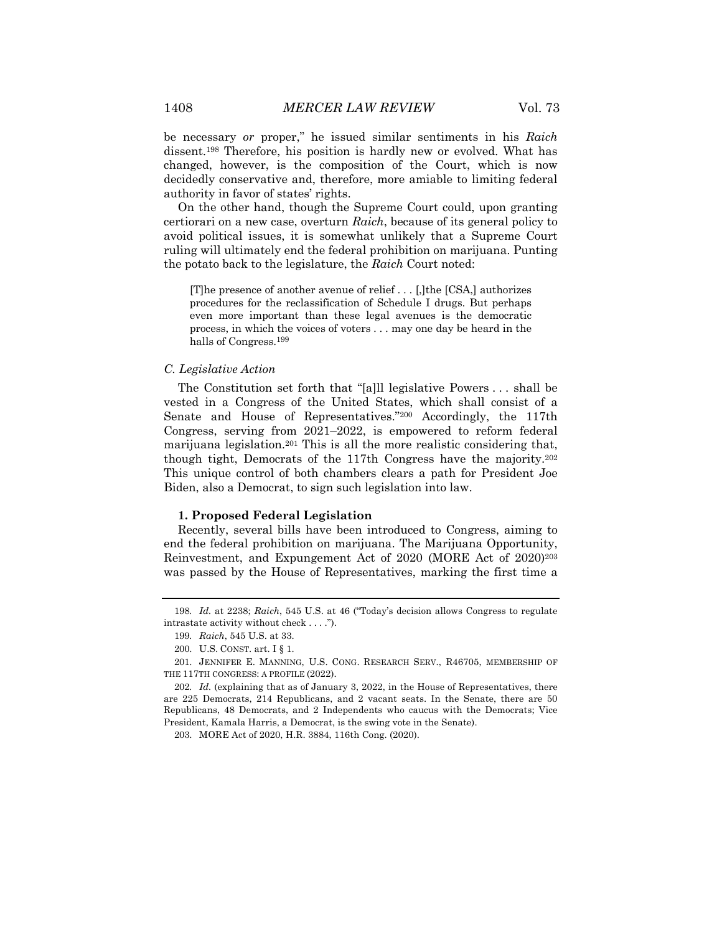be necessary *or* proper," he issued similar sentiments in his *Raich* dissent.198 Therefore, his position is hardly new or evolved. What has changed, however, is the composition of the Court, which is now decidedly conservative and, therefore, more amiable to limiting federal authority in favor of states' rights.

On the other hand, though the Supreme Court could, upon granting certiorari on a new case, overturn *Raich*, because of its general policy to avoid political issues, it is somewhat unlikely that a Supreme Court ruling will ultimately end the federal prohibition on marijuana. Punting the potato back to the legislature, the *Raich* Court noted:

[T]he presence of another avenue of relief . . . [,]the [CSA,] authorizes procedures for the reclassification of Schedule I drugs. But perhaps even more important than these legal avenues is the democratic process, in which the voices of voters . . . may one day be heard in the halls of Congress.199

#### *C. Legislative Action*

The Constitution set forth that "[a]ll legislative Powers . . . shall be vested in a Congress of the United States, which shall consist of a Senate and House of Representatives."200 Accordingly, the 117th Congress, serving from 2021–2022, is empowered to reform federal marijuana legislation.201 This is all the more realistic considering that, though tight, Democrats of the 117th Congress have the majority.202 This unique control of both chambers clears a path for President Joe Biden, also a Democrat, to sign such legislation into law.

# **1. Proposed Federal Legislation**

Recently, several bills have been introduced to Congress, aiming to end the federal prohibition on marijuana. The Marijuana Opportunity, Reinvestment, and Expungement Act of 2020 (MORE Act of 2020)203 was passed by the House of Representatives, marking the first time a

<sup>198</sup>*. Id.* at 2238; *Raich*, 545 U.S. at 46 ("Today's decision allows Congress to regulate intrastate activity without check . . . .").

<sup>199</sup>*. Raich*, 545 U.S. at 33.

<sup>200.</sup> U.S. CONST. art. I § 1.

<sup>201.</sup> JENNIFER E. MANNING, U.S. CONG. RESEARCH SERV., R46705, MEMBERSHIP OF THE 117TH CONGRESS: A PROFILE (2022).

<sup>202</sup>*. Id.* (explaining that as of January 3, 2022, in the House of Representatives, there are 225 Democrats, 214 Republicans, and 2 vacant seats. In the Senate, there are 50 Republicans, 48 Democrats, and 2 Independents who caucus with the Democrats; Vice President, Kamala Harris, a Democrat, is the swing vote in the Senate).

<sup>203.</sup> MORE Act of 2020, H.R. 3884, 116th Cong. (2020).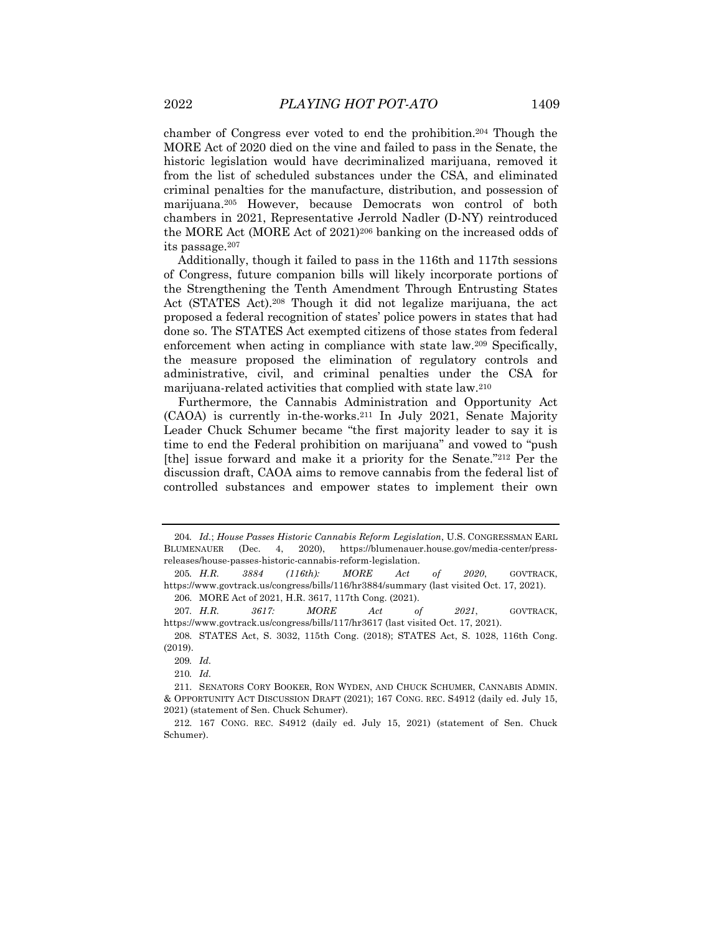chamber of Congress ever voted to end the prohibition.204 Though the MORE Act of 2020 died on the vine and failed to pass in the Senate, the historic legislation would have decriminalized marijuana, removed it from the list of scheduled substances under the CSA, and eliminated criminal penalties for the manufacture, distribution, and possession of marijuana.205 However, because Democrats won control of both chambers in 2021, Representative Jerrold Nadler (D-NY) reintroduced the MORE Act (MORE Act of 2021)206 banking on the increased odds of its passage.207

Additionally, though it failed to pass in the 116th and 117th sessions of Congress, future companion bills will likely incorporate portions of the Strengthening the Tenth Amendment Through Entrusting States Act (STATES Act).208 Though it did not legalize marijuana, the act proposed a federal recognition of states' police powers in states that had done so. The STATES Act exempted citizens of those states from federal enforcement when acting in compliance with state law.209 Specifically, the measure proposed the elimination of regulatory controls and administrative, civil, and criminal penalties under the CSA for marijuana-related activities that complied with state law.210

Furthermore, the Cannabis Administration and Opportunity Act (CAOA) is currently in-the-works.211 In July 2021, Senate Majority Leader Chuck Schumer became "the first majority leader to say it is time to end the Federal prohibition on marijuana" and vowed to "push [the] issue forward and make it a priority for the Senate."212 Per the discussion draft, CAOA aims to remove cannabis from the federal list of controlled substances and empower states to implement their own

207*. H.R. 3617: MORE Act of 2021*, GOVTRACK, https://www.govtrack.us/congress/bills/117/hr3617 (last visited Oct. 17, 2021).

<sup>204</sup>*. Id.*; *House Passes Historic Cannabis Reform Legislation*, U.S. CONGRESSMAN EARL BLUMENAUER (Dec. 4, 2020), https://blumenauer.house.gov/media-center/pressreleases/house-passes-historic-cannabis-reform-legislation.

<sup>205</sup>*. H.R. 3884 (116th): MORE Act of 2020*, GOVTRACK, https://www.govtrack.us/congress/bills/116/hr3884/summary (last visited Oct. 17, 2021). 206. MORE Act of 2021, H.R. 3617, 117th Cong. (2021).

<sup>208.</sup> STATES Act, S. 3032, 115th Cong. (2018); STATES Act, S. 1028, 116th Cong. (2019).

<sup>209</sup>*. Id.*

<sup>210</sup>*. Id.*

<sup>211.</sup> SENATORS CORY BOOKER, RON WYDEN, AND CHUCK SCHUMER, CANNABIS ADMIN. & OPPORTUNITY ACT DISCUSSION DRAFT (2021); 167 CONG. REC. S4912 (daily ed. July 15, 2021) (statement of Sen. Chuck Schumer).

<sup>212.</sup> 167 CONG. REC. S4912 (daily ed. July 15, 2021) (statement of Sen. Chuck Schumer).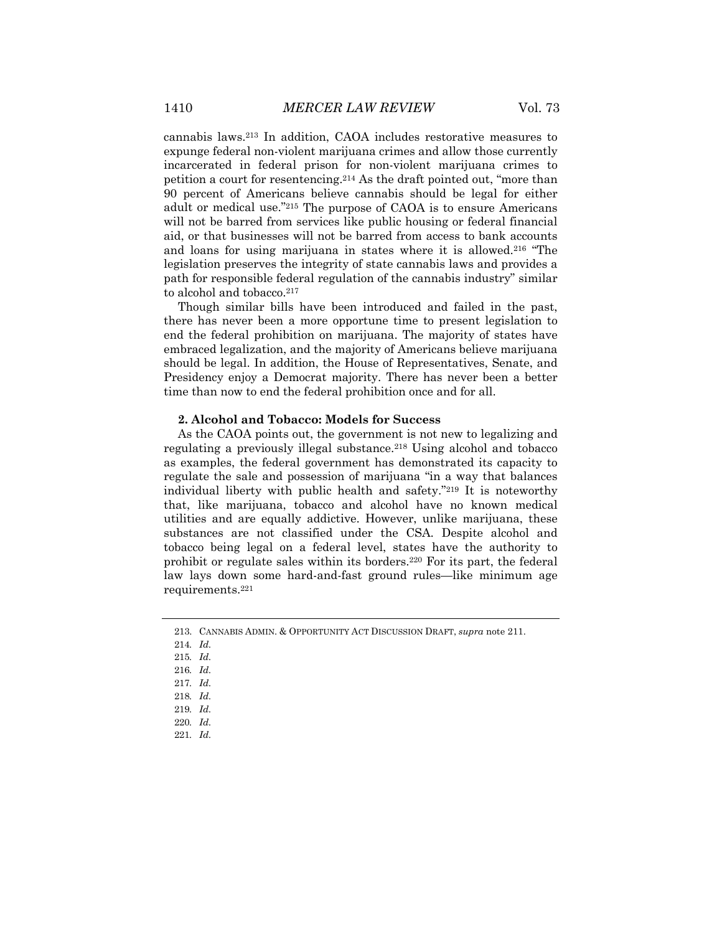cannabis laws.213 In addition, CAOA includes restorative measures to expunge federal non-violent marijuana crimes and allow those currently incarcerated in federal prison for non-violent marijuana crimes to petition a court for resentencing.214 As the draft pointed out, "more than 90 percent of Americans believe cannabis should be legal for either adult or medical use."215 The purpose of CAOA is to ensure Americans will not be barred from services like public housing or federal financial aid, or that businesses will not be barred from access to bank accounts and loans for using marijuana in states where it is allowed.216 "The legislation preserves the integrity of state cannabis laws and provides a path for responsible federal regulation of the cannabis industry" similar to alcohol and tobacco.<sup>217</sup>

Though similar bills have been introduced and failed in the past, there has never been a more opportune time to present legislation to end the federal prohibition on marijuana. The majority of states have embraced legalization, and the majority of Americans believe marijuana should be legal. In addition, the House of Representatives, Senate, and Presidency enjoy a Democrat majority. There has never been a better time than now to end the federal prohibition once and for all.

#### **2. Alcohol and Tobacco: Models for Success**

As the CAOA points out, the government is not new to legalizing and regulating a previously illegal substance.<sup>218</sup> Using alcohol and tobacco as examples, the federal government has demonstrated its capacity to regulate the sale and possession of marijuana "in a way that balances individual liberty with public health and safety."219 It is noteworthy that, like marijuana, tobacco and alcohol have no known medical utilities and are equally addictive. However, unlike marijuana, these substances are not classified under the CSA. Despite alcohol and tobacco being legal on a federal level, states have the authority to prohibit or regulate sales within its borders.220 For its part, the federal law lays down some hard-and-fast ground rules—like minimum age requirements.221

<sup>213.</sup> CANNABIS ADMIN. & OPPORTUNITY ACT DISCUSSION DRAFT, *supra* note 211.

<sup>214</sup>*. Id.*

<sup>215</sup>*. Id.*

<sup>216</sup>*. Id.*

<sup>217</sup>*. Id.*

<sup>218</sup>*. Id.*

<sup>219</sup>*. Id.*

<sup>220</sup>*. Id.*

<sup>221</sup>*. Id.*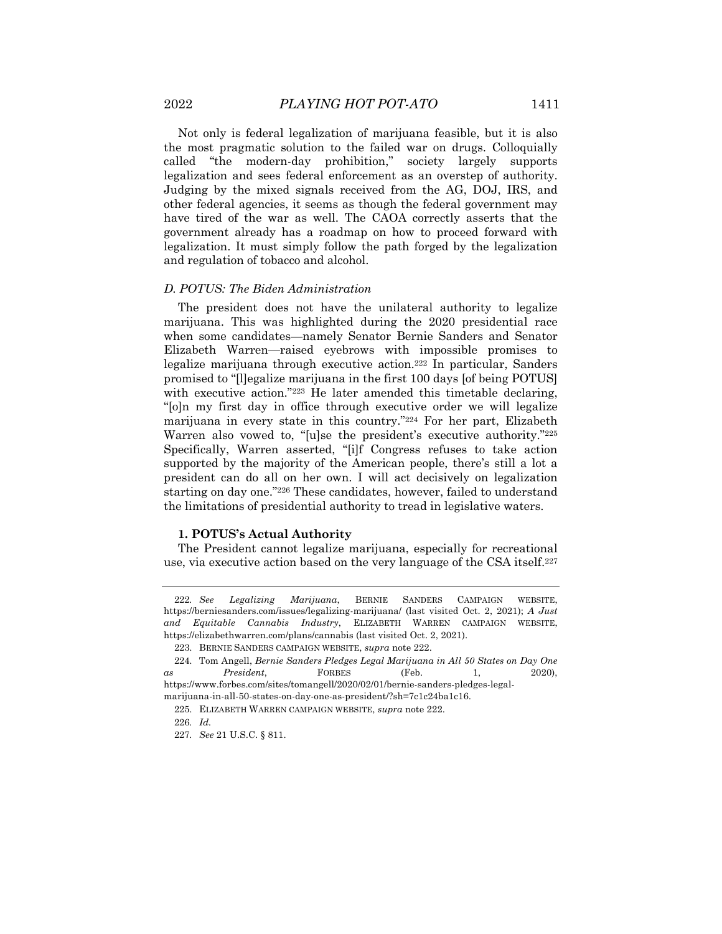Not only is federal legalization of marijuana feasible, but it is also the most pragmatic solution to the failed war on drugs. Colloquially called "the modern-day prohibition," society largely supports legalization and sees federal enforcement as an overstep of authority. Judging by the mixed signals received from the AG, DOJ, IRS, and other federal agencies, it seems as though the federal government may have tired of the war as well. The CAOA correctly asserts that the government already has a roadmap on how to proceed forward with legalization. It must simply follow the path forged by the legalization and regulation of tobacco and alcohol.

#### *D. POTUS: The Biden Administration*

The president does not have the unilateral authority to legalize marijuana. This was highlighted during the 2020 presidential race when some candidates—namely Senator Bernie Sanders and Senator Elizabeth Warren—raised eyebrows with impossible promises to legalize marijuana through executive action.222 In particular, Sanders promised to "[l]egalize marijuana in the first 100 days [of being POTUS] with executive action."223 He later amended this timetable declaring, "[o]n my first day in office through executive order we will legalize marijuana in every state in this country."224 For her part, Elizabeth Warren also vowed to, "[u]se the president's executive authority."225 Specifically, Warren asserted, "[i]f Congress refuses to take action supported by the majority of the American people, there's still a lot a president can do all on her own. I will act decisively on legalization starting on day one."226 These candidates, however, failed to understand the limitations of presidential authority to tread in legislative waters.

# **1. POTUS's Actual Authority**

The President cannot legalize marijuana, especially for recreational use, via executive action based on the very language of the CSA itself.227

<sup>222</sup>*. See Legalizing Marijuana*, BERNIE SANDERS CAMPAIGN WEBSITE, https://berniesanders.com/issues/legalizing-marijuana/ (last visited Oct. 2, 2021); *A Just and Equitable Cannabis Industry*, ELIZABETH WARREN CAMPAIGN WEBSITE, https://elizabethwarren.com/plans/cannabis (last visited Oct. 2, 2021).

<sup>223.</sup> BERNIE SANDERS CAMPAIGN WEBSITE, *supra* note 222.

<sup>224.</sup> Tom Angell, *Bernie Sanders Pledges Legal Marijuana in All 50 States on Day One as President*, FORBES (Feb. 1, 2020), https://www.forbes.com/sites/tomangell/2020/02/01/bernie-sanders-pledges-legal-

marijuana-in-all-50-states-on-day-one-as-president/?sh=7c1c24ba1c16.

<sup>225.</sup> ELIZABETH WARREN CAMPAIGN WEBSITE, *supra* note 222.

<sup>226</sup>*. Id.*

<sup>227</sup>*. See* 21 U.S.C. § 811.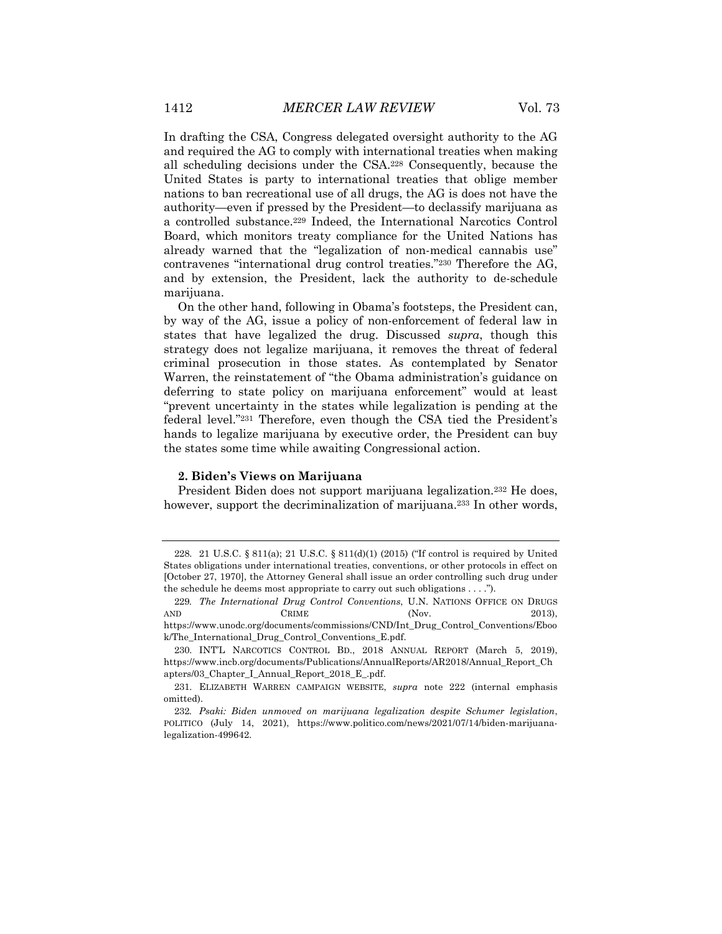In drafting the CSA, Congress delegated oversight authority to the AG and required the AG to comply with international treaties when making all scheduling decisions under the CSA.228 Consequently, because the United States is party to international treaties that oblige member nations to ban recreational use of all drugs, the AG is does not have the authority—even if pressed by the President—to declassify marijuana as a controlled substance.229 Indeed, the International Narcotics Control Board, which monitors treaty compliance for the United Nations has already warned that the "legalization of non-medical cannabis use" contravenes "international drug control treaties."230 Therefore the AG, and by extension, the President, lack the authority to de-schedule marijuana.

On the other hand, following in Obama's footsteps, the President can, by way of the AG, issue a policy of non-enforcement of federal law in states that have legalized the drug. Discussed *supra*, though this strategy does not legalize marijuana, it removes the threat of federal criminal prosecution in those states. As contemplated by Senator Warren, the reinstatement of "the Obama administration's guidance on deferring to state policy on marijuana enforcement" would at least "prevent uncertainty in the states while legalization is pending at the federal level."231 Therefore, even though the CSA tied the President's hands to legalize marijuana by executive order, the President can buy the states some time while awaiting Congressional action.

# **2. Biden's Views on Marijuana**

President Biden does not support marijuana legalization.<sup>232</sup> He does, however, support the decriminalization of marijuana.<sup>233</sup> In other words,

<sup>228.</sup> 21 U.S.C. § 811(a); 21 U.S.C. § 811(d)(1) (2015) ("If control is required by United States obligations under international treaties, conventions, or other protocols in effect on [October 27, 1970], the Attorney General shall issue an order controlling such drug under the schedule he deems most appropriate to carry out such obligations . . . .").

<sup>229</sup>*. The International Drug Control Conventions*, U.N. NATIONS OFFICE ON DRUGS AND CRIME (Nov. 2013), https://www.unodc.org/documents/commissions/CND/Int\_Drug\_Control\_Conventions/Eboo k/The\_International\_Drug\_Control\_Conventions\_E.pdf.

<sup>230.</sup> INT'L NARCOTICS CONTROL BD., 2018 ANNUAL REPORT (March 5, 2019), https://www.incb.org/documents/Publications/AnnualReports/AR2018/Annual\_Report\_Ch apters/03\_Chapter\_I\_Annual\_Report\_2018\_E\_.pdf.

<sup>231.</sup> ELIZABETH WARREN CAMPAIGN WEBSITE, *supra* note 222 (internal emphasis omitted).

<sup>232</sup>*. Psaki: Biden unmoved on marijuana legalization despite Schumer legislation*, POLITICO (July 14, 2021), https://www.politico.com/news/2021/07/14/biden-marijuanalegalization-499642.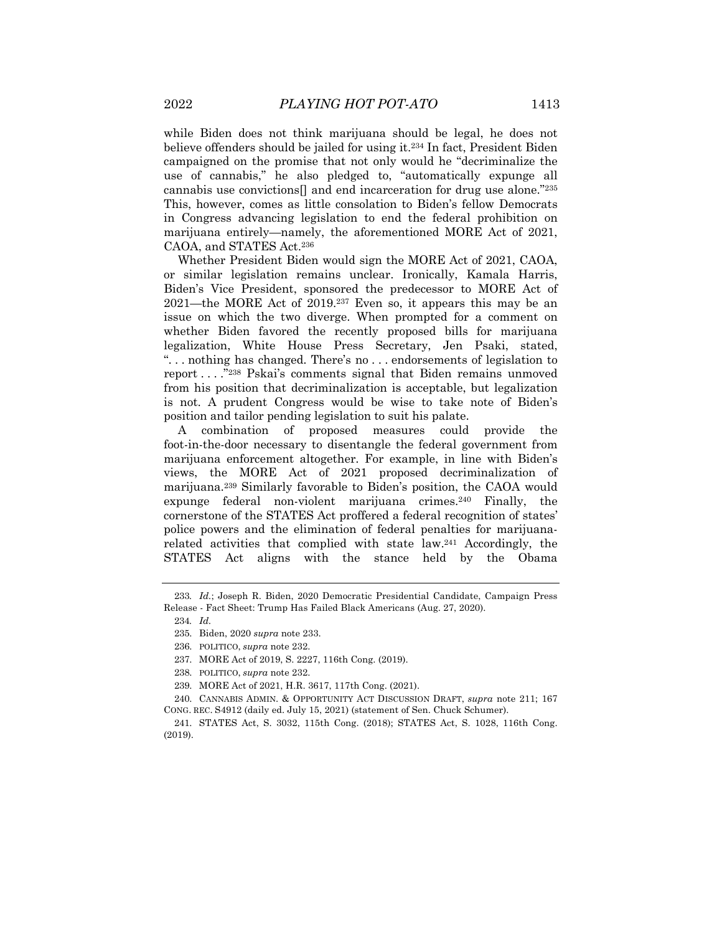while Biden does not think marijuana should be legal, he does not believe offenders should be jailed for using it.234 In fact, President Biden campaigned on the promise that not only would he "decriminalize the use of cannabis," he also pledged to, "automatically expunge all cannabis use convictions[] and end incarceration for drug use alone."235 This, however, comes as little consolation to Biden's fellow Democrats in Congress advancing legislation to end the federal prohibition on marijuana entirely—namely, the aforementioned MORE Act of 2021, CAOA, and STATES Act.236

Whether President Biden would sign the MORE Act of 2021, CAOA, or similar legislation remains unclear. Ironically, Kamala Harris, Biden's Vice President, sponsored the predecessor to MORE Act of 2021—the MORE Act of 2019.237 Even so, it appears this may be an issue on which the two diverge. When prompted for a comment on whether Biden favored the recently proposed bills for marijuana legalization, White House Press Secretary, Jen Psaki, stated, ". . . nothing has changed. There's no . . . endorsements of legislation to report . . . ."238 Pskai's comments signal that Biden remains unmoved from his position that decriminalization is acceptable, but legalization is not. A prudent Congress would be wise to take note of Biden's position and tailor pending legislation to suit his palate.

A combination of proposed measures could provide the foot-in-the-door necessary to disentangle the federal government from marijuana enforcement altogether. For example, in line with Biden's views, the MORE Act of 2021 proposed decriminalization of marijuana.239 Similarly favorable to Biden's position, the CAOA would expunge federal non-violent marijuana crimes.240 Finally, the cornerstone of the STATES Act proffered a federal recognition of states' police powers and the elimination of federal penalties for marijuanarelated activities that complied with state law.241 Accordingly, the STATES Act aligns with the stance held by the Obama

<sup>233</sup>*. Id.*; Joseph R. Biden, 2020 Democratic Presidential Candidate, Campaign Press Release - Fact Sheet: Trump Has Failed Black Americans (Aug. 27, 2020).

<sup>234</sup>*. Id.*

<sup>235.</sup> Biden, 2020 *supra* note 233.

<sup>236.</sup> POLITICO, *supra* note 232.

<sup>237.</sup> MORE Act of 2019, S. 2227, 116th Cong. (2019).

<sup>238.</sup> POLITICO, *supra* note 232.

<sup>239.</sup> MORE Act of 2021, H.R. 3617, 117th Cong. (2021).

<sup>240.</sup> CANNABIS ADMIN. & OPPORTUNITY ACT DISCUSSION DRAFT, *supra* note 211; 167 CONG. REC. S4912 (daily ed. July 15, 2021) (statement of Sen. Chuck Schumer).

<sup>241.</sup> STATES Act, S. 3032, 115th Cong. (2018); STATES Act, S. 1028, 116th Cong. (2019).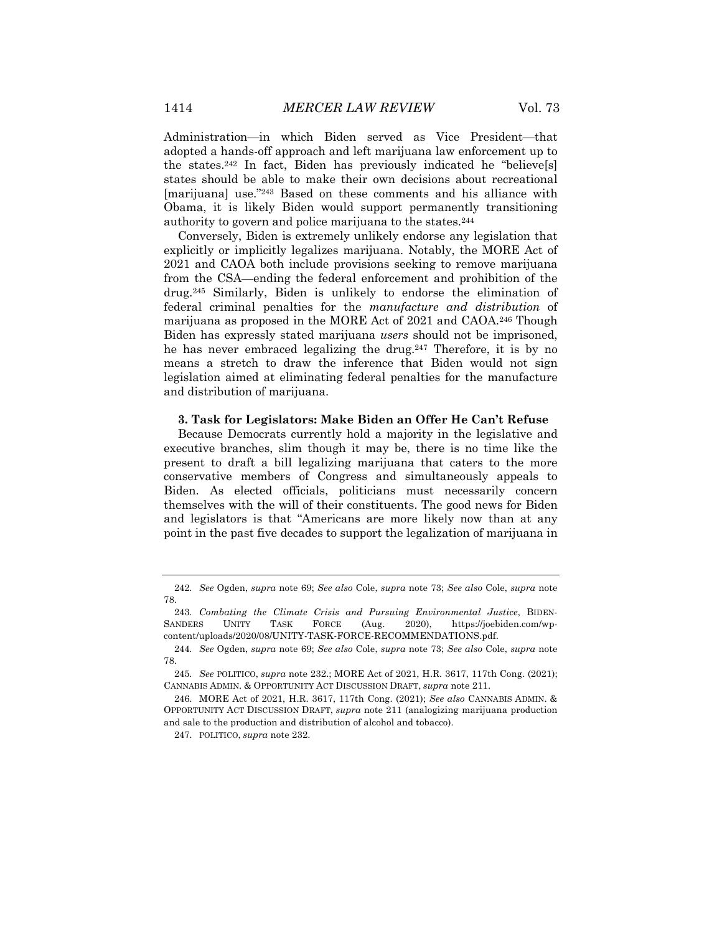states should be able to make their own decisions about recreational [marijuana] use."243 Based on these comments and his alliance with Obama, it is likely Biden would support permanently transitioning authority to govern and police marijuana to the states.244

Conversely, Biden is extremely unlikely endorse any legislation that explicitly or implicitly legalizes marijuana. Notably, the MORE Act of 2021 and CAOA both include provisions seeking to remove marijuana from the CSA—ending the federal enforcement and prohibition of the drug.245 Similarly, Biden is unlikely to endorse the elimination of federal criminal penalties for the *manufacture and distribution* of marijuana as proposed in the MORE Act of 2021 and CAOA.246 Though Biden has expressly stated marijuana *users* should not be imprisoned, he has never embraced legalizing the drug.<sup>247</sup> Therefore, it is by no means a stretch to draw the inference that Biden would not sign legislation aimed at eliminating federal penalties for the manufacture and distribution of marijuana.

# **3. Task for Legislators: Make Biden an Offer He Can't Refuse**

Because Democrats currently hold a majority in the legislative and executive branches, slim though it may be, there is no time like the present to draft a bill legalizing marijuana that caters to the more conservative members of Congress and simultaneously appeals to Biden. As elected officials, politicians must necessarily concern themselves with the will of their constituents. The good news for Biden and legislators is that "Americans are more likely now than at any point in the past five decades to support the legalization of marijuana in

<sup>242</sup>*. See* Ogden, *supra* note 69; *See also* Cole, *supra* note 73; *See also* Cole, *supra* note 78.

<sup>243</sup>*. Combating the Climate Crisis and Pursuing Environmental Justice*, BIDEN-SANDERS UNITY TASK FORCE (Aug. 2020), https://joebiden.com/wpcontent/uploads/2020/08/UNITY-TASK-FORCE-RECOMMENDATIONS.pdf.

<sup>244</sup>*. See* Ogden, *supra* note 69; *See also* Cole, *supra* note 73; *See also* Cole, *supra* note 78.

<sup>245</sup>*. See* POLITICO, *supra* note 232.; MORE Act of 2021, H.R. 3617, 117th Cong. (2021); CANNABIS ADMIN. & OPPORTUNITY ACT DISCUSSION DRAFT, *supra* note 211.

<sup>246.</sup> MORE Act of 2021, H.R. 3617, 117th Cong. (2021); *See also* CANNABIS ADMIN. & OPPORTUNITY ACT DISCUSSION DRAFT, *supra* note 211 (analogizing marijuana production and sale to the production and distribution of alcohol and tobacco).

<sup>247.</sup> POLITICO, *supra* note 232.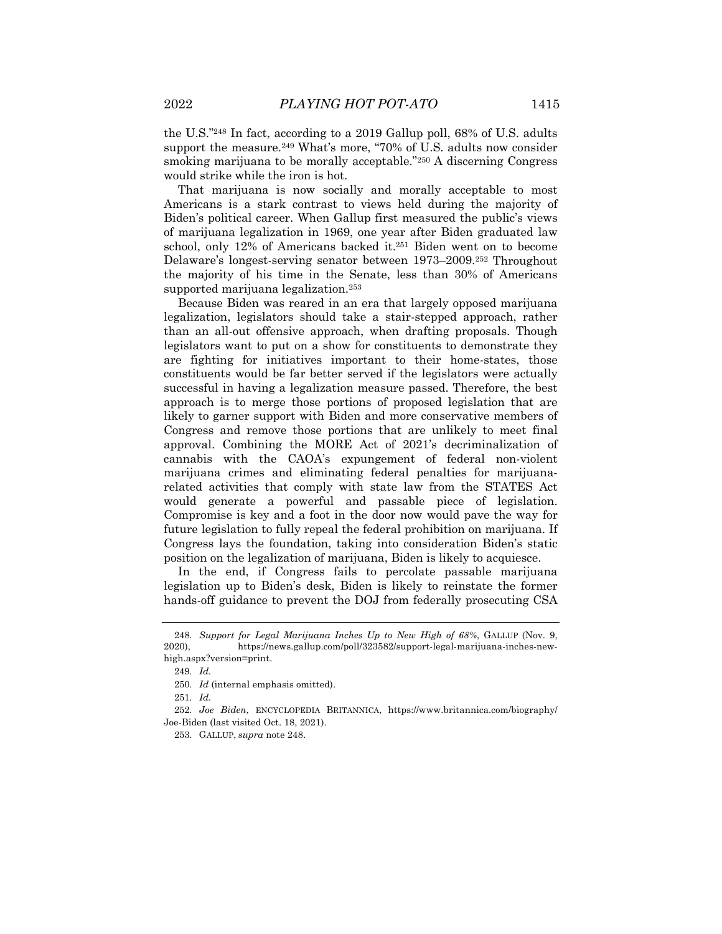the U.S."248 In fact, according to a 2019 Gallup poll, 68% of U.S. adults support the measure.<sup>249</sup> What's more, "70% of U.S. adults now consider smoking marijuana to be morally acceptable."250 A discerning Congress would strike while the iron is hot.

That marijuana is now socially and morally acceptable to most Americans is a stark contrast to views held during the majority of Biden's political career. When Gallup first measured the public's views of marijuana legalization in 1969, one year after Biden graduated law school, only 12% of Americans backed it.251 Biden went on to become Delaware's longest-serving senator between 1973–2009.252 Throughout the majority of his time in the Senate, less than 30% of Americans supported marijuana legalization.253

Because Biden was reared in an era that largely opposed marijuana legalization, legislators should take a stair-stepped approach, rather than an all-out offensive approach, when drafting proposals. Though legislators want to put on a show for constituents to demonstrate they are fighting for initiatives important to their home-states, those constituents would be far better served if the legislators were actually successful in having a legalization measure passed. Therefore, the best approach is to merge those portions of proposed legislation that are likely to garner support with Biden and more conservative members of Congress and remove those portions that are unlikely to meet final approval. Combining the MORE Act of 2021's decriminalization of cannabis with the CAOA's expungement of federal non-violent marijuana crimes and eliminating federal penalties for marijuanarelated activities that comply with state law from the STATES Act would generate a powerful and passable piece of legislation. Compromise is key and a foot in the door now would pave the way for future legislation to fully repeal the federal prohibition on marijuana. If Congress lays the foundation, taking into consideration Biden's static position on the legalization of marijuana, Biden is likely to acquiesce.

In the end, if Congress fails to percolate passable marijuana legislation up to Biden's desk, Biden is likely to reinstate the former hands-off guidance to prevent the DOJ from federally prosecuting CSA

<sup>248</sup>*. Support for Legal Marijuana Inches Up to New High of 68%*, GALLUP (Nov. 9, 2020), https://news.gallup.com/poll/323582/support-legal-marijuana-inches-newhigh.aspx?version=print.

<sup>249</sup>*. Id.*

<sup>250</sup>*. Id* (internal emphasis omitted).

<sup>251</sup>*. Id.*

<sup>252</sup>*. Joe Biden*, ENCYCLOPEDIA BRITANNICA, https://www.britannica.com/biography/ Joe-Biden (last visited Oct. 18, 2021).

<sup>253.</sup> GALLUP, *supra* note 248.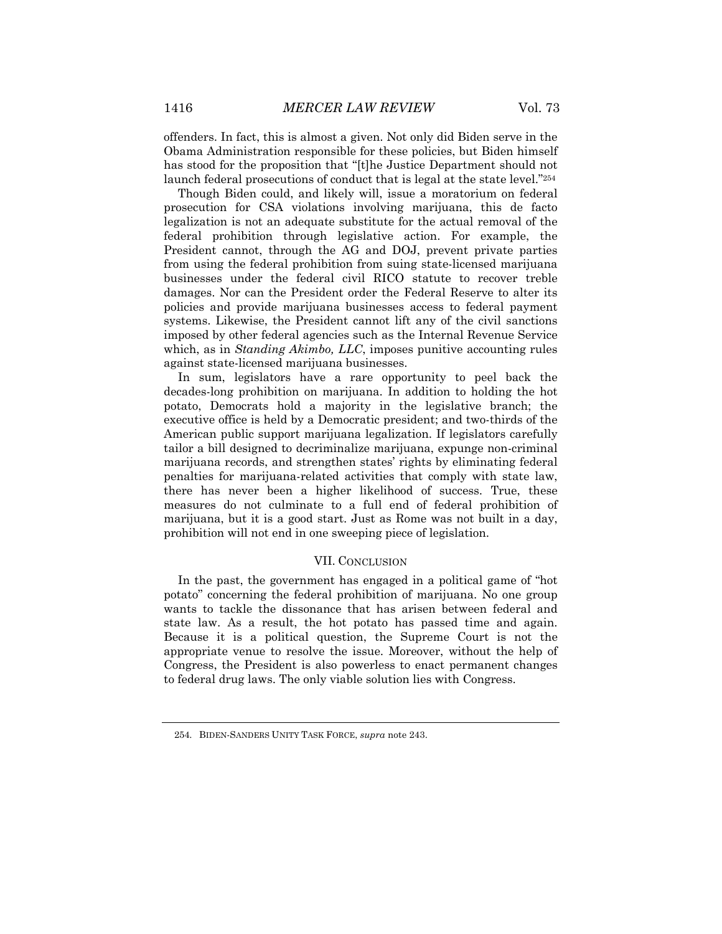offenders. In fact, this is almost a given. Not only did Biden serve in the Obama Administration responsible for these policies, but Biden himself has stood for the proposition that "[t]he Justice Department should not launch federal prosecutions of conduct that is legal at the state level."254

Though Biden could, and likely will, issue a moratorium on federal prosecution for CSA violations involving marijuana, this de facto legalization is not an adequate substitute for the actual removal of the federal prohibition through legislative action. For example, the President cannot, through the AG and DOJ, prevent private parties from using the federal prohibition from suing state-licensed marijuana businesses under the federal civil RICO statute to recover treble damages. Nor can the President order the Federal Reserve to alter its policies and provide marijuana businesses access to federal payment systems. Likewise, the President cannot lift any of the civil sanctions imposed by other federal agencies such as the Internal Revenue Service which, as in *Standing Akimbo, LLC*, imposes punitive accounting rules against state-licensed marijuana businesses.

In sum, legislators have a rare opportunity to peel back the decades-long prohibition on marijuana. In addition to holding the hot potato, Democrats hold a majority in the legislative branch; the executive office is held by a Democratic president; and two-thirds of the American public support marijuana legalization. If legislators carefully tailor a bill designed to decriminalize marijuana, expunge non-criminal marijuana records, and strengthen states' rights by eliminating federal penalties for marijuana-related activities that comply with state law, there has never been a higher likelihood of success. True, these measures do not culminate to a full end of federal prohibition of marijuana, but it is a good start. Just as Rome was not built in a day, prohibition will not end in one sweeping piece of legislation.

# VII. CONCLUSION

In the past, the government has engaged in a political game of "hot potato" concerning the federal prohibition of marijuana. No one group wants to tackle the dissonance that has arisen between federal and state law. As a result, the hot potato has passed time and again. Because it is a political question, the Supreme Court is not the appropriate venue to resolve the issue. Moreover, without the help of Congress, the President is also powerless to enact permanent changes to federal drug laws. The only viable solution lies with Congress.

<sup>254.</sup> BIDEN-SANDERS UNITY TASK FORCE, *supra* note 243.